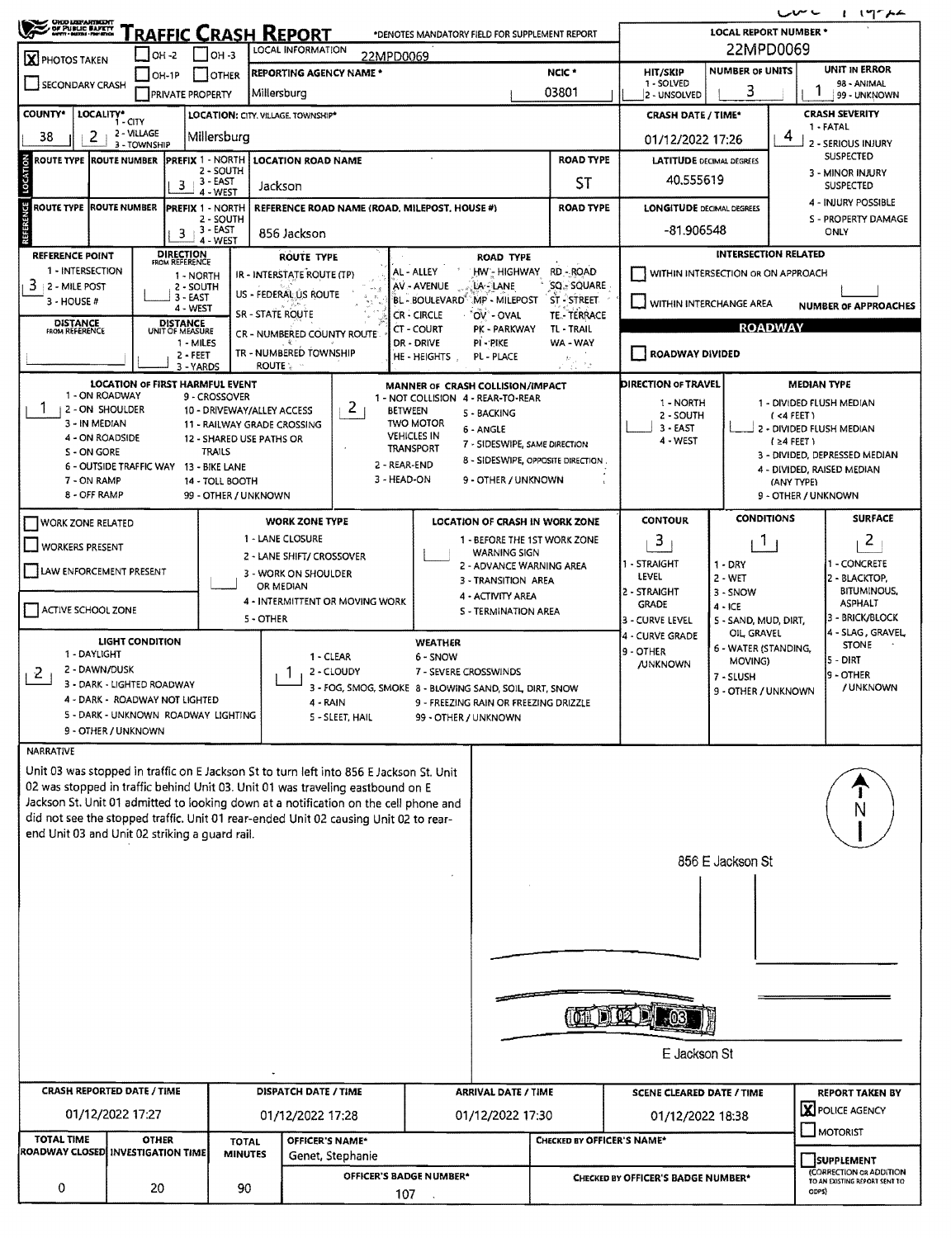| <b>CHO LOPARIBENT</b>                                                                                                                                                        |                                                              |              |                                      |                                             |                                                                            |                                                                                                                                                                              |                                 |                             |                                               |                                                                 |                 |                                     |                                                      |                                    | ← ~س                                                              | 1.19774                                          |  |
|------------------------------------------------------------------------------------------------------------------------------------------------------------------------------|--------------------------------------------------------------|--------------|--------------------------------------|---------------------------------------------|----------------------------------------------------------------------------|------------------------------------------------------------------------------------------------------------------------------------------------------------------------------|---------------------------------|-----------------------------|-----------------------------------------------|-----------------------------------------------------------------|-----------------|-------------------------------------|------------------------------------------------------|------------------------------------|-------------------------------------------------------------------|--------------------------------------------------|--|
| $\tilde{\mathbf{z}}$<br>OF PUBLIC BAFETY                                                                                                                                     |                                                              |              |                                      |                                             |                                                                            | <u> `raffic Crash Report</u>                                                                                                                                                 |                                 |                             |                                               | *DENOTES MANDATORY FIELD FOR SUPPLEMENT REPORT                  |                 |                                     |                                                      | <b>LOCAL REPORT NUMBER *</b>       | 22MPD0069                                                         |                                                  |  |
| X PHOTOS TAKEN                                                                                                                                                               |                                                              | OH -2        |                                      | Г Іон з                                     |                                                                            | LOCAL INFORMATION<br><b>REPORTING AGENCY NAME *</b>                                                                                                                          |                                 | 22MPD0069                   |                                               |                                                                 |                 | NCIC <sup>*</sup>                   | <b>HIT/SKIP</b>                                      | <b>NUMBER OF UNITS</b>             |                                                                   | UNIT IN ERROR                                    |  |
| <b>SECONDARY CRASH</b>                                                                                                                                                       |                                                              | $I$ OH-1P    | <b>PRIVATE PROPERTY</b>              | <b>JOTHER</b>                               | Millersburg                                                                |                                                                                                                                                                              |                                 |                             |                                               |                                                                 |                 | 03801                               | 1 - SOLVED<br>2 - UNSOLVED                           | 3                                  |                                                                   | 98 - ANIMAL<br>99 - UNKNOWN                      |  |
| <b>COUNTY*</b>                                                                                                                                                               | LOCALITY* CITY                                               |              |                                      |                                             |                                                                            | LOCATION: CITY. VILLAGE, TOWNSHIP*                                                                                                                                           |                                 |                             |                                               | <b>CRASH SEVERITY</b><br><b>CRASH DATE / TIME*</b><br>1 - FATAL |                 |                                     |                                                      |                                    |                                                                   |                                                  |  |
| 2 - VILLAGE<br>38<br>2<br>Millersburg<br>3 - TOWNSHIP                                                                                                                        |                                                              |              |                                      |                                             |                                                                            |                                                                                                                                                                              |                                 |                             |                                               |                                                                 |                 |                                     | 01/12/2022 17:26                                     |                                    | 4                                                                 | 2 - SERIOUS INJURY                               |  |
| LOCATION<br><b>ROUTE TYPE ROUTE NUMBER</b>                                                                                                                                   |                                                              |              | <b>PREFIX 1 - NORTH</b>              | 2 - SOUTH                                   |                                                                            | <b>LOCATION ROAD NAME</b>                                                                                                                                                    |                                 |                             |                                               |                                                                 |                 | <b>ROAD TYPE</b>                    | <b>LATITUDE DECIMAL DEGREES</b>                      |                                    |                                                                   | <b>SUSPECTED</b><br>3 - MINOR INJURY             |  |
|                                                                                                                                                                              |                                                              |              | 3                                    | <b>3 - EAST</b><br>4 - WEST                 | Jackson                                                                    |                                                                                                                                                                              |                                 |                             |                                               |                                                                 |                 | ST                                  | 40.555619                                            |                                    |                                                                   | <b>SUSPECTED</b>                                 |  |
| REFERENCE<br>ROUTE TYPE ROUTE NUMBER                                                                                                                                         |                                                              |              | <b>PREFIX 1 - NORTH</b>              | 2 - SOUTH                                   |                                                                            |                                                                                                                                                                              |                                 |                             | REFERENCE ROAD NAME (ROAD, MILEPOST, HOUSE #) |                                                                 |                 | <b>ROAD TYPE</b>                    | <b>LONGITUDE DECIMAL DEGREES</b>                     |                                    |                                                                   | 4 - INJURY POSSIBLE<br>S - PROPERTY DAMAGE       |  |
|                                                                                                                                                                              |                                                              |              | 3                                    | 3 - EAST<br>4 - WEST                        |                                                                            | 856 Jackson                                                                                                                                                                  |                                 |                             |                                               |                                                                 |                 |                                     | -81.906548                                           |                                    |                                                                   | <b>ONLY</b>                                      |  |
| <b>REFERENCE POINT</b><br>1 - INTERSECTION                                                                                                                                   |                                                              |              | <b>DIRECTION</b><br>FROM REFERENCE   |                                             |                                                                            | <b>ROUTE TYPE</b>                                                                                                                                                            |                                 |                             |                                               | <b>ROAD TYPE</b>                                                |                 |                                     |                                                      |                                    | <b>INTERSECTION RELATED</b>                                       |                                                  |  |
| 3<br>2 - MILE POST                                                                                                                                                           |                                                              |              | 1 - NORTH<br>2 - SOUTH               |                                             |                                                                            | IR - INTERSTATE ROUTE (TP)<br>US - FEDERAL ÚS ROUTE                                                                                                                          |                                 |                             | AL - ALLEY<br>AV - AVENUE                     | HW - HIGHWAY<br>LA-LANE                                         |                 | RD - ROAD<br>SQ - SQUARE            |                                                      | WITHIN INTERSECTION OR ON APPROACH |                                                                   |                                                  |  |
| $3 - HOUSE #$                                                                                                                                                                |                                                              |              | $3 - EAST$<br>4 - WEST               |                                             | <b>SR - STATE ROUTE</b>                                                    |                                                                                                                                                                              |                                 |                             | BL - BOULEVARD"<br>CR-CIRCLE                  | MP - MILEPOST<br>'OV' - OVAL                                    |                 | ST-STREET<br><b>TE .- TERRACE</b>   | - 1                                                  | WITHIN INTERCHANGE AREA            |                                                                   | <b>NUMBER OF APPROACHES</b>                      |  |
| <b>DISTANCE</b><br>FROM REFERENCE                                                                                                                                            |                                                              |              | <b>DISTANCE</b><br>UNIT OF MEASURE   |                                             |                                                                            | CR - NUMBERED COUNTY ROUTE                                                                                                                                                   |                                 |                             | CT - COURT                                    | PK - PARKWAY                                                    |                 | TL - TRAIL                          |                                                      |                                    | <b>ROADWAY</b>                                                    |                                                  |  |
|                                                                                                                                                                              |                                                              |              | 1 - MILES<br>$2 - FERT$<br>3 - YARDS |                                             | <b>ROUTE</b>                                                               | TR - NUMBERED TOWNSHIP                                                                                                                                                       |                                 |                             | DR - DRIVE<br>HE - HEIGHTS                    | PI-PIKE<br>PL - PLACE                                           |                 | WA - WAY<br>$\kappa_{\nu^+\nu^0_k}$ | <b>ROADWAY DIVIDED</b>                               |                                    |                                                                   |                                                  |  |
|                                                                                                                                                                              | <b>LOCATION OF FIRST HARMFUL EVENT</b>                       |              |                                      |                                             |                                                                            |                                                                                                                                                                              |                                 |                             |                                               | MANNER OF CRASH COLLISION/IMPACT                                |                 |                                     | DIRECTION OF TRAVEL                                  |                                    | <b>MEDIAN TYPE</b>                                                |                                                  |  |
|                                                                                                                                                                              | 1 - ON ROADWAY<br>2 - ON SHOULDER                            |              |                                      | 9 - CROSSOVER<br>10 - DRIVEWAY/ALLEY ACCESS |                                                                            |                                                                                                                                                                              | $\mathbf{Z}$                    | <b>BETWEEN</b>              |                                               | 1 - NOT COLLISION 4 - REAR-TO-REAR<br>5 - BACKING               |                 |                                     | 1 - NORTH<br>2 - SOUTH                               |                                    |                                                                   | 1 - DIVIDED FLUSH MEDIAN                         |  |
|                                                                                                                                                                              | 3 - IN MEDIAN<br>4 - ON ROADSIDE                             |              |                                      | 11 - RAILWAY GRADE CROSSING                 |                                                                            |                                                                                                                                                                              |                                 | <b>VEHICLES IN</b>          | <b>TWO MOTOR</b>                              | 6 - ANGLE                                                       |                 |                                     | $3 - EAST$                                           |                                    | (4 FEE)                                                           | 2 - DIVIDED FLUSH MEDIAN                         |  |
| S - ON GORE                                                                                                                                                                  |                                                              |              |                                      | 12 - SHARED USE PATHS OR<br><b>TRAILS</b>   |                                                                            |                                                                                                                                                                              |                                 | <b>TRANSPORT</b>            |                                               | 7 - SIDESWIPE, SAME DIRECTION                                   |                 | 8 - SIDESWIPE, OPPOSITE DIRECTION.  | 4 - WEST                                             |                                    | $(24$ FEET)                                                       | 3 - DIVIDED, DEPRESSED MEDIAN                    |  |
| 7 - ON RAMP                                                                                                                                                                  | 6 - OUTSIDE TRAFFIC WAY 13 - BIKE LANE                       |              |                                      | 14 - TOLL BOOTH                             |                                                                            |                                                                                                                                                                              |                                 | 2 - REAR-END<br>3 - HEAD-ON |                                               | 9 - OTHER / UNKNOWN                                             |                 |                                     |                                                      |                                    | (ANY TYPE)                                                        | 4 - DIVIDED, RAISED MEDIAN                       |  |
|                                                                                                                                                                              | 8 - OFF RAMP                                                 |              |                                      | 99 - OTHER / UNKNOWN                        |                                                                            |                                                                                                                                                                              |                                 |                             |                                               |                                                                 |                 |                                     |                                                      |                                    | 9 - OTHER / UNKNOWN                                               |                                                  |  |
| <b>WORK ZONE RELATED</b>                                                                                                                                                     |                                                              |              |                                      |                                             |                                                                            | <b>WORK ZONE TYPE</b>                                                                                                                                                        |                                 |                             |                                               | LOCATION OF CRASH IN WORK ZONE                                  |                 |                                     | <b>CONTOUR</b>                                       | <b>CONDITIONS</b>                  |                                                                   | <b>SURFACE</b>                                   |  |
| <b>WORKERS PRESENT</b>                                                                                                                                                       |                                                              |              |                                      |                                             |                                                                            | 1 - LANE CLOSURE<br>2 - LANE SHIFT/ CROSSOVER                                                                                                                                |                                 |                             |                                               | 1 - BEFORE THE 1ST WORK ZONE<br><b>WARNING SIGN</b>             |                 |                                     | 3                                                    | 1                                  |                                                                   | $\overline{z}$                                   |  |
| LAW ENFORCEMENT PRESENT                                                                                                                                                      |                                                              |              |                                      |                                             |                                                                            | 3 - WORK ON SHOULDER                                                                                                                                                         |                                 |                             |                                               | 2 - ADVANCE WARNING AREA<br>3 - TRANSITION AREA                 |                 |                                     | 1 - STRAIGHT<br>LEVEL                                | 1 - DRY<br>$2 - WET$               |                                                                   | - CONCRETE<br>2 - BLACKTOP,                      |  |
|                                                                                                                                                                              |                                                              |              |                                      |                                             | OR MEDIAN                                                                  |                                                                                                                                                                              | 4 - INTERMITTENT OR MOVING WORK |                             |                                               | 4 - ACTIVITY AREA                                               |                 |                                     | 2 - STRAIGHT<br><b>GRADE</b>                         | 3 - SNOW                           |                                                                   | <b>BITUMINOUS</b><br><b>ASPHALT</b>              |  |
| ACTIVE SCHOOL ZONE                                                                                                                                                           |                                                              |              |                                      | 5 - OTHER                                   | 4 - ICE<br>S - TERMINATION AREA<br>3 - CURVE LEVEL<br>5 - SAND, MUD, DIRT, |                                                                                                                                                                              |                                 |                             |                                               |                                                                 | 3 - BRICK/BLOCK |                                     |                                                      |                                    |                                                                   |                                                  |  |
|                                                                                                                                                                              | <b>LIGHT CONDITION</b>                                       |              |                                      |                                             |                                                                            |                                                                                                                                                                              |                                 |                             | <b>WEATHER</b>                                |                                                                 |                 |                                     | 4 - CURVE GRADE<br>9 - OTHER                         | OIL GRAVEL<br>6 - WATER (STANDING, |                                                                   | 4 - SLAG, GRAVEL,<br><b>STONE</b>                |  |
| 1 - DAYLIGHT<br>2                                                                                                                                                            | 2 - DAWN/DUSK                                                |              |                                      |                                             |                                                                            | 1 - CLEAR<br>6 - SNOW<br>2 - CLOUDY<br>7 - SEVERE CROSSWINDS<br>3 - FOG, SMOG, SMOKE 8 - BLOWING SAND, SOIL, DIRT, SNOW<br>4 - RAIN<br>9 - FREEZING RAIN OR FREEZING DRIZZLE |                                 |                             |                                               |                                                                 |                 | <b>JUNKNOWN</b>                     | MOVING)<br>7 - SLUSH                                 |                                    | 5 - DIRT<br>9 - OTHER                                             |                                                  |  |
|                                                                                                                                                                              | 3 - DARK - LIGHTED ROADWAY<br>4 - DARK - ROADWAY NOT LIGHTED |              |                                      |                                             |                                                                            |                                                                                                                                                                              |                                 |                             |                                               |                                                                 |                 |                                     | 9 - OTHER / UNKNOWN                                  |                                    | / UNKNOWN                                                         |                                                  |  |
|                                                                                                                                                                              | 5 - DARK - UNKNOWN ROADWAY LIGHTING                          |              |                                      |                                             |                                                                            |                                                                                                                                                                              | 5 - SLEET, HAIL                 |                             | 99 - OTHER / UNKNOWN                          |                                                                 |                 |                                     |                                                      |                                    |                                                                   |                                                  |  |
|                                                                                                                                                                              | 9 - OTHER / UNKNOWN                                          |              |                                      |                                             |                                                                            |                                                                                                                                                                              |                                 |                             |                                               |                                                                 |                 |                                     |                                                      |                                    |                                                                   |                                                  |  |
| NARRATIVE<br>Unit 03 was stopped in traffic on E Jackson St to turn left into 856 E Jackson St. Unit                                                                         |                                                              |              |                                      |                                             |                                                                            |                                                                                                                                                                              |                                 |                             |                                               |                                                                 |                 |                                     |                                                      |                                    |                                                                   |                                                  |  |
| 02 was stopped in traffic behind Unit 03. Unit 01 was traveling eastbound on E                                                                                               |                                                              |              |                                      |                                             |                                                                            |                                                                                                                                                                              |                                 |                             |                                               |                                                                 |                 |                                     |                                                      |                                    |                                                                   |                                                  |  |
| Jackson St. Unit 01 admitted to looking down at a notification on the cell phone and<br>did not see the stopped traffic. Unit 01 rear-ended Unit 02 causing Unit 02 to rear- |                                                              |              |                                      |                                             |                                                                            |                                                                                                                                                                              |                                 |                             |                                               |                                                                 |                 |                                     |                                                      |                                    |                                                                   | Ν                                                |  |
| end Unit 03 and Unit 02 striking a guard rail.                                                                                                                               |                                                              |              |                                      |                                             |                                                                            |                                                                                                                                                                              |                                 |                             |                                               |                                                                 |                 |                                     |                                                      |                                    |                                                                   |                                                  |  |
|                                                                                                                                                                              |                                                              |              |                                      |                                             |                                                                            |                                                                                                                                                                              |                                 |                             |                                               |                                                                 |                 |                                     |                                                      | 856 E Jackson St                   |                                                                   |                                                  |  |
|                                                                                                                                                                              |                                                              |              |                                      |                                             |                                                                            |                                                                                                                                                                              |                                 |                             |                                               |                                                                 |                 |                                     |                                                      |                                    |                                                                   |                                                  |  |
|                                                                                                                                                                              |                                                              |              |                                      |                                             |                                                                            |                                                                                                                                                                              |                                 |                             |                                               |                                                                 |                 |                                     |                                                      |                                    |                                                                   |                                                  |  |
|                                                                                                                                                                              |                                                              |              |                                      |                                             |                                                                            |                                                                                                                                                                              |                                 |                             |                                               |                                                                 |                 |                                     |                                                      |                                    |                                                                   |                                                  |  |
|                                                                                                                                                                              |                                                              |              |                                      |                                             |                                                                            |                                                                                                                                                                              |                                 |                             |                                               |                                                                 |                 |                                     |                                                      |                                    |                                                                   |                                                  |  |
|                                                                                                                                                                              |                                                              |              |                                      |                                             |                                                                            |                                                                                                                                                                              |                                 |                             |                                               |                                                                 |                 |                                     |                                                      |                                    |                                                                   |                                                  |  |
|                                                                                                                                                                              |                                                              |              |                                      |                                             |                                                                            |                                                                                                                                                                              |                                 |                             |                                               |                                                                 |                 |                                     |                                                      |                                    |                                                                   |                                                  |  |
|                                                                                                                                                                              |                                                              |              |                                      |                                             |                                                                            |                                                                                                                                                                              |                                 |                             |                                               |                                                                 |                 |                                     |                                                      |                                    |                                                                   |                                                  |  |
|                                                                                                                                                                              |                                                              |              |                                      |                                             |                                                                            |                                                                                                                                                                              |                                 |                             |                                               |                                                                 |                 |                                     | E Jackson St                                         |                                    |                                                                   |                                                  |  |
| <b>CRASH REPORTED DATE / TIME</b>                                                                                                                                            |                                                              |              |                                      |                                             |                                                                            | <b>DISPATCH DATE / TIME</b>                                                                                                                                                  |                                 |                             |                                               |                                                                 |                 |                                     |                                                      |                                    |                                                                   |                                                  |  |
|                                                                                                                                                                              | 01/12/2022 17:27                                             |              |                                      |                                             |                                                                            | 01/12/2022 17:28                                                                                                                                                             |                                 |                             |                                               | <b>ARRIVAL DATE / TIME</b><br>01/12/2022 17:30                  |                 |                                     | <b>SCENE CLEARED DATE / TIME</b><br>01/12/2022 18:38 |                                    |                                                                   | <b>REPORT TAKEN BY</b><br><b>X</b> POLICE AGENCY |  |
| <b>TOTAL TIME</b>                                                                                                                                                            |                                                              | <b>OTHER</b> |                                      | <b>TOTAL</b>                                |                                                                            | OFFICER'S NAME*                                                                                                                                                              |                                 |                             |                                               |                                                                 |                 | CHECKED BY OFFICER'S NAME*          |                                                      |                                    |                                                                   | <b>J</b> MOTORIST                                |  |
| ROADWAY CLOSED INVESTIGATION TIME                                                                                                                                            |                                                              |              |                                      | <b>MINUTES</b>                              |                                                                            | Genet, Stephanie                                                                                                                                                             |                                 |                             |                                               |                                                                 |                 |                                     |                                                      |                                    |                                                                   | SUPPLEMENT                                       |  |
| 0                                                                                                                                                                            |                                                              | 20           |                                      | 90                                          |                                                                            |                                                                                                                                                                              |                                 | 107                         | OFFICER'S BADGE NUMBER*                       |                                                                 |                 |                                     | <b>CHECKED BY OFFICER'S BADGE NUMBER*</b>            |                                    | (CORRECTION OR ADDITION<br>TO AN EXISTING REPORT SENT TO<br>ODPS) |                                                  |  |
|                                                                                                                                                                              |                                                              |              |                                      |                                             |                                                                            |                                                                                                                                                                              |                                 |                             |                                               |                                                                 |                 |                                     |                                                      |                                    |                                                                   |                                                  |  |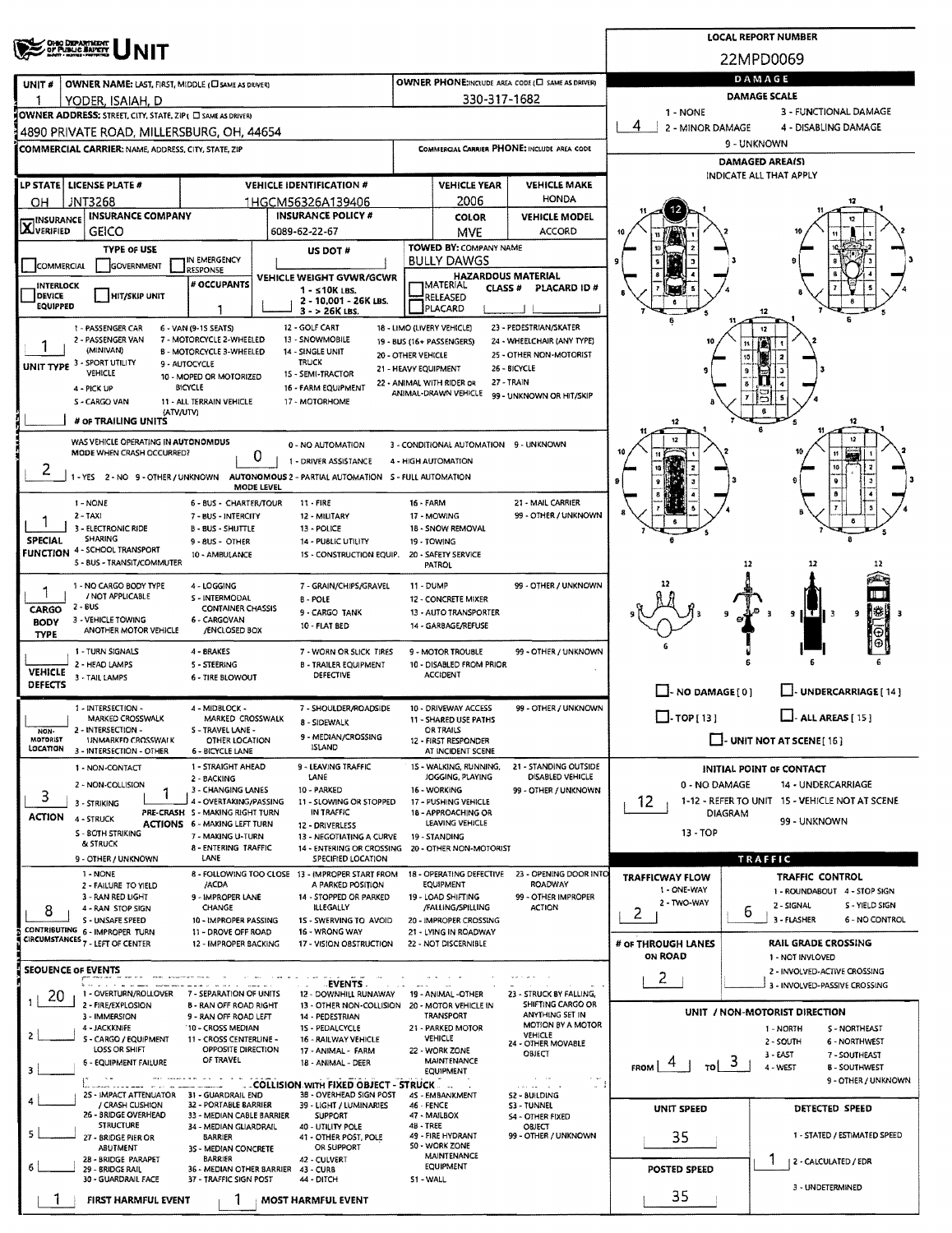| <b>CHIO DEPARTMENT</b><br>OF PUBLIC BAPETY                                                                                                                                |                                                         |                                               |                                                      |                                       | <b>LOCAL REPORT NUMBER</b>                                       |
|---------------------------------------------------------------------------------------------------------------------------------------------------------------------------|---------------------------------------------------------|-----------------------------------------------|------------------------------------------------------|---------------------------------------|------------------------------------------------------------------|
|                                                                                                                                                                           |                                                         |                                               |                                                      |                                       | 22MPD0069                                                        |
| OWNER NAME: LAST, FIRST, MIDDLE (C) SAME AS DRIVERY<br>UNIT #                                                                                                             |                                                         |                                               | OWNER PHONE: INCLUDE AREA CODE (E) SAME AS DRIVER)   |                                       | DAMAGE                                                           |
| YODER. ISAIAH. D                                                                                                                                                          |                                                         | 330-317-1682                                  |                                                      |                                       | DAMAGE SCALE                                                     |
| OWNER ADDRESS: STREET, CITY, STATE, ZIP ( C SAME AS DRIVER)                                                                                                               |                                                         |                                               |                                                      | 1 - NONE<br>4                         | 3 - FUNCTIONAL DAMAGE                                            |
| 4890 PRIVATE ROAD, MILLERSBURG, OH, 44654                                                                                                                                 |                                                         |                                               |                                                      | 2 - MINOR DAMAGE                      | 4 - DISABLING DAMAGE<br>9 - UNKNOWN                              |
| <b>COMMERCIAL CARRIER: NAME, ADDRESS, CITY, STATE, ZIP</b>                                                                                                                |                                                         |                                               | COMMERCIAL CARRIER PHONE: INCLUDE AREA CODE          |                                       | <b>DAMAGED AREA(S)</b>                                           |
| LP STATE   LICENSE PLATE #                                                                                                                                                |                                                         | <b>VEHICLE YEAR</b>                           |                                                      |                                       | INDICATE ALL THAT APPLY                                          |
| <b>VEHICLE IDENTIFICATION #</b><br>JNT3268<br>OН<br>1HGCM56326A139406                                                                                                     |                                                         | 2006                                          | <b>VEHICLE MAKE</b><br>HONDA                         |                                       | 12                                                               |
| <b>INSURANCE COMPANY</b><br><b>INSURANCE POLICY #</b><br><b>INSURANCE</b>                                                                                                 |                                                         | <b>COLOR</b>                                  | <b>VEHICLE MODEL</b>                                 |                                       |                                                                  |
| <b>X</b> VERIFIED<br>GEICO<br>6089-62-22-67                                                                                                                               |                                                         | <b>MVE</b>                                    | ACCORD                                               |                                       |                                                                  |
| <b>TYPE OF USE</b><br>US DOT #<br>IN EMERGENCY                                                                                                                            |                                                         | TOWED BY: COMPANY NAME<br><b>BULLY DAWGS</b>  |                                                      |                                       |                                                                  |
| GOVERNMENT<br>COMMERCIAL<br>RESPONSE<br>VEHICLE WEIGHT GVWR/GCWR                                                                                                          |                                                         | <b>HAZARDOUS MATERIAL</b>                     |                                                      |                                       |                                                                  |
| # OCCUPANTS<br>INTERLOCK<br>$1 - 510K$ LBS.<br><b>DEVICE</b><br><b>HIT/SKIP UNIT</b><br>2 - 10,001 - 26K LBS.                                                             |                                                         | <b>MATERIAL</b><br><b>CLASS#</b><br>RELEASED  | PLACARD ID#                                          |                                       |                                                                  |
| <b>EQUIPPED</b><br>3 - > 26K LBS.                                                                                                                                         |                                                         | PLACARD                                       |                                                      |                                       |                                                                  |
| 12 - GOLF CART<br>1 - PASSENGER CAR<br>6 - VAN (9-15 SEATS)<br>13 - SNOWMOBILE<br>2 - PASSENGER VAN<br>7 - MOTORCYCLE 2-WHEELED                                           | 18 - LIMO (LIVERY VEHICLE)<br>19 - BUS (16+ PASSENGERS) |                                               | 23 - PEDESTRIAN/SKATER<br>24 - WHEELCHAIR (ANY TYPE) |                                       |                                                                  |
| (MINIVAN)<br>B - MOTORCYCLE 3-WHEELED<br>14 - SINGLE UNIT                                                                                                                 | 20 - OTHER VEHICLE                                      |                                               | 25 - OTHER NON-MOTORIST                              |                                       | 15                                                               |
| UNIT TYPE 3 - SPORT UTILITY<br><b>TRUCK</b><br>9 - AUTOCYCLE<br>VEHICLE<br>15 - SEMI-TRACTOR<br>10 - MOPED OR MOTORIZED                                                   | 21 - HEAVY EQUIPMENT                                    |                                               | 26 - BICYCLE                                         |                                       |                                                                  |
| <b>BICYCLE</b><br>4 - PICK UP<br>16 - FARM EQUIPMENT                                                                                                                      | 22 - ANIMAL WITH RIDER OR                               | ANIMAL-DRAWN VEHICLE                          | 27 - TRAIN<br>99 UNKNOWN OR HIT/SKIP                 |                                       |                                                                  |
| 11 - ALL TERRAIN VEHICLE<br>17 - MOTORHOME<br>S - CARGO VAN<br>(ATV/UTV)                                                                                                  |                                                         |                                               |                                                      |                                       |                                                                  |
| # OF TRAILING UNITS                                                                                                                                                       |                                                         |                                               |                                                      | 12                                    | 12<br>s                                                          |
| WAS VEHICLE OPERATING IN AUTONOMDUS<br>0 - NO AUTOMATION<br>MODE WHEN CRASH OCCURRED?<br>0                                                                                |                                                         | 3 - CONDITIONAL AUTOMATION 9 - UNKNOWN        |                                                      |                                       |                                                                  |
| 1 - DRIVER ASSISTANCE<br>2<br>1 - YES 2 - NO 9 - OTHER / UNKNOWN<br>AUTONOMOUS 2 - PARTIAL AUTOMATION 5 - FULL AUTOMATION                                                 |                                                         | 4 - HIGH AUTOMATION                           |                                                      |                                       |                                                                  |
| <b>MODE LEVEL</b>                                                                                                                                                         |                                                         |                                               |                                                      |                                       |                                                                  |
| 1 - NONE<br>$11 -$ FIRE<br>6 - BUS - CHARTER/TOUR<br>2 - TAXI<br>7 - BUS - INTERCITY<br>12 - MILITARY                                                                     | <b>16 - FARM</b>                                        | 17 - MOWING                                   | 21 - MAIL CARRIER<br>99 - OTHER / UNKNOWN            |                                       |                                                                  |
| 3 - ELECTRONIC RIDE<br><b>B-BUS-SHUTTLE</b><br>13 - POLICE                                                                                                                |                                                         | 18 - SNOW REMOVAL                             |                                                      |                                       |                                                                  |
| <b>SHARING</b><br><b>SPECIAL</b><br>9 - 8US - OTHER<br>14 - PUBLIC UTILITY<br><b>FUNCTION 4 - SCHOOL TRANSPORT</b><br><b>1S - CONSTRUCTION EQUIP.</b><br>10 - AMBULANCE   |                                                         | 19 TOWING<br>20 - SAFETY SERVICE              |                                                      |                                       |                                                                  |
| 5 - BUS - TRANSIT/COMMUTER                                                                                                                                                |                                                         | PATROL                                        |                                                      |                                       | 12<br>12                                                         |
| 1 - NO CARGO BODY TYPE<br>7 - GRAIN/CHIPS/GRAVEL<br>4 - LOGGING                                                                                                           | 11 - DUMP                                               |                                               | 99 - OTHER / UNKNOWN                                 |                                       |                                                                  |
| / NOT APPLICABLE<br>S - INTERMODAL<br><b>B-POLE</b><br>2 - BUS<br><b>CONTAINER CHASSIS</b><br>CARGO<br>9 - CARGO TANK                                                     |                                                         | 12 - CONCRETE MIXER<br>13 - AUTO TRANSPORTER  |                                                      |                                       | ‼₿<br>9                                                          |
| 3 - VEHICLE TOWING<br>6 - CARGOVAN<br><b>BODY</b><br>10 - FLAT BED<br>ANOTHER MOTOR VEHICLE<br>/ENCLOSED BOX<br><b>TYPE</b>                                               |                                                         | 14 - GARBAGE/REFUSE                           |                                                      |                                       |                                                                  |
| 1 - TURN SIGNALS<br>4 - BRAKES<br>7 - WORN OR SLICK TIRES                                                                                                                 |                                                         | 9 - MOTOR TROUBLE                             | 99 - OTHER / UNKNOWN                                 |                                       |                                                                  |
| 2 - HEAD LAMPS<br>5 - STEERING<br><b>B - TRAILER EQUIPMENT</b><br><b>VEHICLE</b><br>DEFECTIVE                                                                             |                                                         | 10 - DISABLED FROM PRIOR<br><b>ACCIDENT</b>   |                                                      |                                       |                                                                  |
| 3 - TAIL LAMPS<br>6 - TIRE BLOWOUT<br>DEFECTS                                                                                                                             |                                                         |                                               |                                                      | $\Box$ - NO DAMAGE $[0]$              | UNDERCARRIAGE [ 14 ]                                             |
| 1 - INTERSECTION -<br>4 - MIDBLOCK -<br>7 - SHOULDER/ROADSIDE                                                                                                             |                                                         | 10 - DRIVEWAY ACCESS                          | 99 - OTHER / UNKNOWN                                 |                                       |                                                                  |
| MARKED CROSSWALK<br>MARKED CROSSWALK<br>8 - SIDEWALK<br>2 - INTERSECTION -<br>S - TRAVEL LANE -<br>NON-                                                                   |                                                         | 11 - SHARED USE PATHS<br><b>OR TRAILS</b>     |                                                      | $\Box$ -TOP[13]                       | $\Box$ ALL AREAS [15]                                            |
| 9 - MEDIAN/CROSSING<br><b>MOTORIST</b><br><b>UNMARKED CROSSWALK</b><br>OTHER LOCATION<br><b>ISLAND</b><br>LOCATION<br>3 - INTERSECTION - OTHER<br><b>6 - BICYCLE LANE</b> |                                                         | 12 - FIRST RESPONDER<br>AT INCIDENT SCENE     |                                                      |                                       | $\Box$ - UNIT NOT AT SCENE [ 16 ]                                |
| 1 - STRAIGHT AHEAD<br>9 - LEAVING TRAFFIC<br>1 - NON-CONTACT                                                                                                              |                                                         | 15 - WALKING, RUNNING,                        | 21 - STANDING OUTSIDE                                |                                       | INITIAL POINT OF CONTACT                                         |
| LANE<br>2 - BACKING<br>2 - NON-COLLISION<br>3 - CHANGING LANES<br>10 - PARKED<br>1                                                                                        |                                                         | JOGGING, PLAYING<br>16 - WORKING              | DISABLED VEHICLE<br>99 - OTHER / UNKNOWN             | 0 - NO DAMAGE                         | 14 - UNDERCARRIAGE                                               |
| 3<br>4 - OVERTAKING/PASSING<br>11 - SLOWING OR STOPPED<br>3 - STRIKING<br>PRE-CRASH 5 - MAKING RIGHT TURN<br>IN TRAFFIC                                                   |                                                         | 17 - PUSHING VEHICLE<br>18 - APPROACHING OR   |                                                      | 12                                    | 1-12 - REFER TO UNIT 15 - VEHICLE NOT AT SCENE                   |
| <b>ACTION</b><br>4 - STRUCK<br><b>ACTIONS 6 - MAKING LEFT TURN</b><br>12 - DRIVERLESS                                                                                     |                                                         | LEAVING VEHICLE                               |                                                      | <b>DIAGRAM</b><br>13 - TOP            | 99 - UNKNOWN                                                     |
| S - BOTH STRIKING<br>7 - MAKING U-TURN<br>13 - NEGOTIATING A CURVE<br>& STRUCK<br>8 - ENTERING TRAFFIC<br>14 - ENTERING OR CROSSING                                       |                                                         | 19 - STANDING<br>20 - OTHER NON-MOTORIST      |                                                      |                                       |                                                                  |
| LANE<br>9 - OTHER / UNKNOWN<br>SPECIFIED LOCATION                                                                                                                         |                                                         |                                               |                                                      |                                       | TRAFFIC                                                          |
| 1 - NONE<br>8 - FOLLOWING TOO CLOSE 13 - IMPROPER START FROM<br>/ACDA<br>A PARKED POSITION<br>2 - FAILURE TO YIELD                                                        |                                                         | 18 - OPERATING DEFECTIVE<br>EQUIPMENT         | 23 - OPENING DOOR INTO<br>ROADWAY                    | <b>TRAFFICWAY FLOW</b><br>1 - ONE-WAY | <b>TRAFFIC CONTROL</b><br>1 - ROUNDABOUT 4 - STOP SIGN           |
| 3 - RAN RED LIGHT<br>9 - IMPROPER LANE<br>14 - STOPPED OR PARKED<br><b>ILLEGALLY</b><br>CHANGE<br>4 - RAN STOP SIGN<br>8                                                  |                                                         | 19 - LOAD SHIFTING<br>/FALLING/SPILLING       | 99 - OTHER IMPROPER<br><b>ACTION</b>                 | 2 TWO-WAY                             | 2 SIGNAL<br>S - YIELD SIGN                                       |
| S - UNSAFE SPEED<br>10 - IMPROPER PASSING<br>15 - SWERVING TO AVOID<br>CONTRIBUTING 6 - IMPROPER TURN                                                                     |                                                         | 20 - IMPROPER CROSSING                        |                                                      | 2                                     | b<br>3 - FLASHER<br>6 - NO CONTROL                               |
| 11 - DROVE OFF ROAD<br>16 - WRONG WAY<br>CIRCUMSTANCES <sub>7</sub> - LEFT OF CENTER<br>12 - IMPROPER BACKING<br>17 - VISION OBSTRUCTION                                  |                                                         | 21 - LYING IN ROADWAY<br>22 - NOT DISCERNIBLE |                                                      | # OF THROUGH LANES                    | RAIL GRADE CROSSING                                              |
| <b>SEOUENCE OF EVENTS</b>                                                                                                                                                 |                                                         |                                               |                                                      | ON ROAD                               | 1 - NOT INVLOVED<br>2 - INVOLVED-ACTIVE CROSSING                 |
| EVENTS.                                                                                                                                                                   |                                                         |                                               |                                                      | 2                                     | 3 - INVOLVED-PASSIVE CROSSING                                    |
| 1 - OVERTURN/ROLLOVER<br>7 - SEPARATION OF UNITS<br>12 - DOWNHILL RUNAWAY<br>20<br>2 - FIRE/EXPLOSION<br><b>B - RAN OFF ROAD RIGHT</b><br>13 - OTHER NON-COLLISION        |                                                         | 19 - ANIMAL -OTHER<br>20 - MOTOR VEHICLE IN   | 23 - STRUCK BY FALLING,<br>SHIFTING CARGO OR         |                                       |                                                                  |
| 3 - IMMERSION<br>9 - RAN OFF ROAD LEFT<br>14 - PEDESTRIAN<br>4 - JACKKNIFE<br>'10 - CROSS MEDIAN<br>15 - PEDALCYCLE                                                       |                                                         | TRANSPORT<br>21 - PARKED MOTOR                | ANYTHING SET IN<br>MOTION BY A MOTOR                 |                                       | UNIT / NON-MOTORIST DIRECTION<br>S - NORTHEAST<br>1 - NORTH      |
| 2<br>5 - CARGO / EQUIPMENT<br>11 - CROSS CENTERLINE -<br>16 - RAILWAY VEHICLE<br>LOSS OR SHIFT<br>OPPOSITE DIRECTION                                                      |                                                         | VEHICLE                                       | <b>VEHICLE</b><br>24 - OTHER MOVABLE                 |                                       | 2 - SOUTH<br>6 - NORTHWEST                                       |
| 17 - ANIMAL - FARM<br>OF TRAVEL<br>6 - EQUIPMENT FAILURE<br>18 - ANIMAL - DEER                                                                                            |                                                         | 22 - WORK ZONE<br><b>MAINTENANCE</b>          | <b>OBJECT</b>                                        | τoΙ<br><b>FROM</b>                    | 3 - EAST<br>7 - SOUTHEAST<br>3<br>4 - WEST<br><b>B-SOUTHWEST</b> |
| з<br><b>LECOLLISION WITH FIXED OBJECT - STRUCK LET</b>                                                                                                                    |                                                         | <b>EQUIPMENT</b>                              | $\alpha = 0.00$<br>- 1<br>and and the first          |                                       | 9 - OTHER / UNKNOWN                                              |
| 25 - IMPACT ATTENUATOR 31 - GUARDRAIL END<br>3B - OVERHEAD SIGN POST<br>/ CRASH CUSHION<br>32 - PORTABLE BARRIER<br>39 - LIGHT / LUMINARIES                               | <b>46 - FENCE</b>                                       | 45 - EMBANKMENT                               | S2 - BUILDING<br>S3 - TUNNEL                         |                                       |                                                                  |
| 26 - BRIDGE OVERHEAD<br>33 - MEDIAN CABLE BARRIER<br><b>SUPPORT</b><br><b>STRUCTURE</b><br>34 - MEDIAN GLIARDRAIL<br>40 - UTILITY POLE                                    | 48 - TREE                                               | 47 - MAILBOX                                  | <b>S4 - OTHER FIXED</b><br>OBJECT                    | UNIT SPEED                            | DETECTED SPEED                                                   |
| 5<br>41 - OTHER POST, POLE<br>27 - BRIDGE PIER OR<br><b>BARRIER</b>                                                                                                       |                                                         | 49 - FIRE HYDRANT<br><b>SO - WORK ZONE</b>    | 99 - OTHER / UNKNOWN                                 | 35                                    | 1 - STATED / ESTIMATED SPEED                                     |
| OR SUPPORT<br>ABUTMENT<br>3S - MEDIAN CONCRETE<br><b>BARRIER</b><br>28 - BRIDGE PARAPET<br>42 - CULVERT                                                                   |                                                         | <b>MAINTENANCE</b>                            |                                                      |                                       | 2 - CALCULATED / EDR                                             |
| 6<br>29 - BRIDGE RAIL<br>36 - MEDIAN OTHER BARRIER<br>43 - CURB<br>30 - GUARDRAIL FACE<br>37 - TRAFFIC SIGN POST<br>44 - DITCH                                            | S1 - WALL                                               | <b>EQUIPMENT</b>                              |                                                      | <b>POSTED SPEED</b>                   |                                                                  |
| FIRST HARMFUL EVENT<br>MOST HARMFUL EVENT                                                                                                                                 |                                                         |                                               |                                                      | 35                                    | 3 - UNDETERMINED                                                 |
|                                                                                                                                                                           |                                                         |                                               |                                                      |                                       |                                                                  |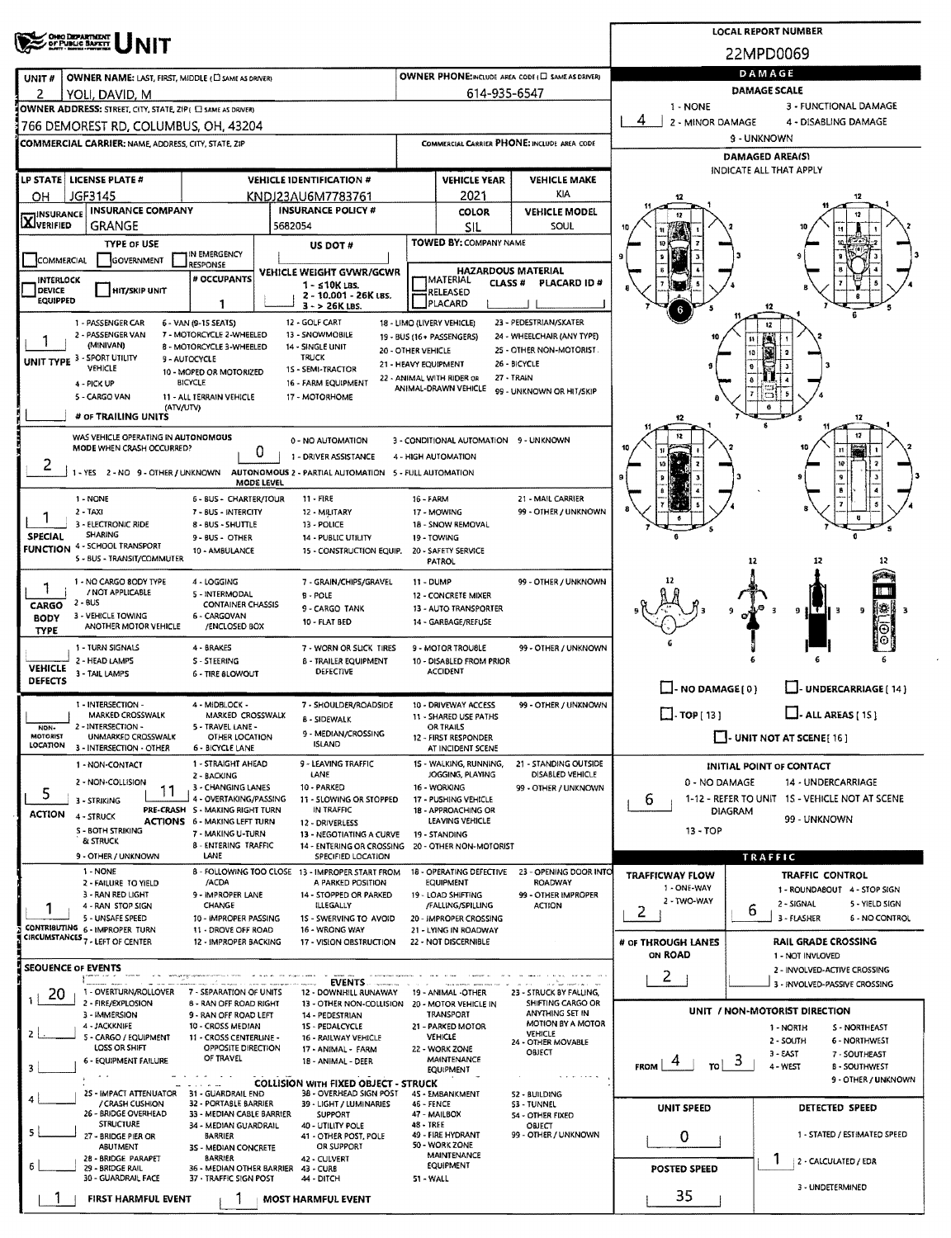|                                                                                                            |                                                                        |                                                 |                                                   |                                                      |                                      | <b>LOCAL REPORT NUMBER</b>                                         |
|------------------------------------------------------------------------------------------------------------|------------------------------------------------------------------------|-------------------------------------------------|---------------------------------------------------|------------------------------------------------------|--------------------------------------|--------------------------------------------------------------------|
| <b>ONEO DEPARTMENT</b><br>OF PUBLIC SAFETY                                                                 |                                                                        |                                                 |                                                   |                                                      |                                      | 22MPD0069                                                          |
| <b>OWNER NAME: LAST, FIRST, MIDDLE (C) SAME AS DRIVERS</b><br>UNIT#                                        |                                                                        |                                                 |                                                   | OWNER PHONE:INCLUDE AREA CODE (E) SAME AS DRIVER)    |                                      | DAMAGE                                                             |
| 2<br>YOLI, DAVID, M                                                                                        |                                                                        |                                                 | 614-935-6547                                      |                                                      |                                      | <b>DAMAGE SCALE</b>                                                |
| OWNER ADDRESS: STREET, CITY, STATE, ZIP ( C) SAME AS DRIVERY                                               |                                                                        |                                                 |                                                   |                                                      | 1 - NONE                             | 3 - FUNCTIONAL DAMAGE                                              |
| 766 DEMOREST RD, COLUMBUS, OH, 43204                                                                       |                                                                        |                                                 |                                                   |                                                      | 4<br>2 - MINOR DAMAGE                | 4 - DISABLING DAMAGE<br>9 - UNKNOWN                                |
| <b>COMMERCIAL CARRIER: NAME ADDRESS, CITY, STATE, ZIP</b>                                                  |                                                                        |                                                 |                                                   | COMMERCIAL CARRIER PHONE: INCLUDE AREA CODE          |                                      | <b>DAMAGED AREAIS)</b>                                             |
|                                                                                                            |                                                                        |                                                 |                                                   |                                                      |                                      | INDICATE ALL THAT APPLY                                            |
| LP STATE   LICENSE PLATE #<br>JGF3145<br>OН                                                                | <b>VEHICLE IDENTIFICATION #</b><br>KNDJ23AU6M7783761                   |                                                 | <b>VEHICLE YEAR</b><br>2021                       | <b>VEHICLE MAKE</b><br>KIA                           | 12                                   |                                                                    |
| <b>INSURANCE COMPANY</b><br><b>INSURANCE</b>                                                               | <b>INSURANCE POLICY #</b>                                              |                                                 | <b>COLOR</b>                                      | <b>VEHICLE MODEL</b>                                 | 17                                   |                                                                    |
| <b>AJVERIFIED</b><br>GRANGE                                                                                | 5682054                                                                |                                                 | SIL                                               | SOUL                                                 |                                      |                                                                    |
| <b>TYPE OF USE</b><br>IN EMERGENCY                                                                         | US DOT #                                                               |                                                 | <b>TOWED BY: COMPANY NAME</b>                     |                                                      |                                      |                                                                    |
| COMMERCIAL<br>GOVERNMENT<br>RESPONSE                                                                       | VEHICLE WEIGHT GVWR/GCWR                                               |                                                 | <b>HAZARDOUS MATERIAL</b>                         |                                                      |                                      |                                                                    |
| # OCCUPANTS<br><b>INTERLOCK</b><br>DEVICE<br><b>HIT/SKIP UNIT</b>                                          | $1 - 510K$ LBS.<br>2 - 10.001 - 26K LBS.                               |                                                 | <b>IMATERIAL</b><br><b>CLASS#</b><br>RELEASED     | PLACARD ID#                                          |                                      |                                                                    |
| <b>EQUIPPED</b><br>1                                                                                       | $3 - 26K$ LBS.                                                         |                                                 | <b>PLACARD</b>                                    |                                                      |                                      |                                                                    |
| 6 - VAN (9-15 SEATS)<br>1 - PASSENGER CAR<br>2 - PASSENGER VAN<br>7 - MOTORCYCLE 2-WHEELED                 | 12 - GOLF CART<br>13 - SNOWMOBILE                                      | 18 - LIMO (LIVERY VEHICLE)                      |                                                   | 23 - PEDESTRIAN/SKATER<br>24 - WHEELCHAIR (ANY TYPE) |                                      |                                                                    |
| (MINIVAN)<br>8 - MOTORCYCLE 3-WHEELED                                                                      | 14 - SINGLE UNIT                                                       | 19 - BUS (16+ PASSENGERS)<br>20 - OTHER VEHICLE |                                                   | 25 - OTHER NON-MOTORIST                              |                                      | tt i<br>15                                                         |
| UNIT TYPE 3 - SPORT UTILITY<br>9 - AUTOCYCLE<br>VEHICLE<br>10 - MOPED OR MOTORIZED                         | <b>TRUCK</b><br>15 - SEMI-TRACTOR                                      | 21 - HEAVY EQUIPMENT                            |                                                   | 26 - BICYCLE                                         |                                      |                                                                    |
| <b>BICYCLE</b><br>4 - PICK UP                                                                              | 16 - FARM EQUIPMENT                                                    |                                                 | 22 - ANIMAL WITH RIDER OR<br>ANIMAL-DRAWN VEHICLE | 27 - TRAIN<br>99 - UNKNOWN OR HIT/SKIP               |                                      |                                                                    |
| 5 - CARGO VAN<br>11 - ALL TERRAIN VEHICLE<br>(ATV/UTV)                                                     | 17 - MOTORHOME                                                         |                                                 |                                                   |                                                      |                                      |                                                                    |
| # OF TRAILING UNITS                                                                                        |                                                                        |                                                 |                                                   |                                                      | 12                                   | 12                                                                 |
| WAS VEHICLE OPERATING IN AUTONOMOUS<br>MODE WHEN CRASH OCCURRED?                                           | 0 - NO AUTOMATION                                                      |                                                 | 3 - CONDITIONAL AUTOMATION 9 - UNKNOWN            |                                                      |                                      |                                                                    |
| U<br>۷                                                                                                     | 1 - DRIVER ASSISTANCE                                                  | 4 - HIGH AUTOMATION                             |                                                   |                                                      |                                      | 10                                                                 |
| 1 - YES 2 - NO 9 - OTHER / UNKNOWN AUTONOMOUS 2 - PARTIAL AUTOMATION 5 - FULL AUTOMATION<br>MODE LEVEL     |                                                                        |                                                 |                                                   |                                                      |                                      |                                                                    |
| 1 - NONE<br>6 - BUS - CHARTER/TOUR                                                                         | $11 -$ FIRE                                                            | 16 - FARM                                       |                                                   | 21 - MAIL CARRIER                                    |                                      |                                                                    |
| 2 TAXI<br>7 - BUS - INTERCITY<br>3 - ELECTRONIC RIDE<br>8 - BUS - SHUTTLE                                  | 12 - MILITARY<br>13 - POLICE                                           | 17 - MOWING                                     | 18 - SNOW REMOVAL                                 | 99 - OTHER / UNKNOWN                                 |                                      | B                                                                  |
| SHARING<br><b>SPECIAL</b><br>9 - BUS - OTHER<br>FUNCTION 4 - SCHOOL TRANSPORT                              | 14 - PUBLIC UTILITY                                                    | 19 - TOWING                                     |                                                   |                                                      |                                      |                                                                    |
| 10 - AMBULANCE<br>5 - BUS - TRANSIT/COMMUTER                                                               | 15 - CONSTRUCTION EQUIP.                                               | <b>PATROL</b>                                   | 20 - SAFETY SERVICE                               |                                                      |                                      | 12                                                                 |
| 1 - NO CARGO 8ODY TYPE<br>4 - LOGGING                                                                      | 7 - GRAIN/CHIPS/GRAVEL                                                 | 11 - DUMP                                       |                                                   | 99 - OTHER / UNKNOWN                                 |                                      |                                                                    |
| 1<br>/ NOT APPLICABLE<br>5 - INTERMODAL<br>2 - BUS<br>CARGO<br><b>CONTAINER CHASSIS</b>                    | $B - POLE$                                                             |                                                 | 12 - CONCRETE MIXER                               |                                                      |                                      |                                                                    |
| 3 - VEHICLE TOWING<br>6 - CARGOVAN<br><b>BODY</b>                                                          | 9 - CARGO TANK<br>10 - FLAT BED                                        |                                                 | 13 - AUTO TRANSPORTER<br>14 - GARBAGE/REFUSE      |                                                      |                                      | 開発 間<br>9<br>a,<br>-3                                              |
| ANOTHER MOTOR VEHICLE<br>/ENCLOSED BOX<br><b>TYPE</b>                                                      |                                                                        |                                                 |                                                   |                                                      |                                      |                                                                    |
| 1 - TURN SIGNALS<br>4 - BRAKES<br>2 - HEAD LAMPS<br><b>S-STEERING</b>                                      | 7 - WORN OR SLICK TIRES<br><b>B - TRAILER EQUIPMENT</b>                |                                                 | 9 - MOTOR TROUBLE<br>10 - DISABLED FROM PRIOR     | 99 - OTHER / UNKNOWN                                 |                                      |                                                                    |
| <b>VEHICLE</b><br>3 - TAIL LAMPS<br>6 - TIRE BLOWOUT<br>DEFECTS                                            | <b>DEFECTIVE</b>                                                       |                                                 | <b>ACCIDENT</b>                                   |                                                      |                                      |                                                                    |
| 1 - INTERSECTION -<br>4 - MIDBLOCK -                                                                       | 7 - SHOULDER/ROADSIDE                                                  |                                                 | 10 - DRIVEWAY ACCESS                              | 99 - OTHER / UNKNOWN                                 | $\Box$ - NO DAMAGE(0)                | UNDERCARRIAGE [ 14 ]                                               |
| MARKED CROSSWALK<br>MARKED CROSSWALK                                                                       | <b>B - SIDEWALK</b>                                                    |                                                 | 11 - SHARED USE PATHS                             |                                                      | $\Box$ . TOP [ 13 ]                  | $\Box$ - ALL AREAS [ 15 ]                                          |
| 2 - INTERSECTION -<br>5 - TRAVEL LANE -<br>NON-<br><b>MOTORIST</b><br>UNMARKED CROSSWALK<br>OTHER LOCATION | 9 - MEDIAN/CROSSING<br><b>ISLAND</b>                                   |                                                 | OR TRAILS<br>12 - FIRST RESPONDER                 |                                                      |                                      | $\blacksquare$ - UNIT NOT AT SCENE [16]                            |
| LOCATION<br>3 - INTERSECTION - OTHER<br>6 - BICYCLE LANE<br>1 - STRAIGHT AHEAD                             | 9 - LEAVING TRAFFIC                                                    |                                                 | AT INCIDENT SCENE<br>15 - WALKING, RUNNING,       | 21 - STANDING OUTSIDE                                |                                      |                                                                    |
| 1 - NON-CONTACT<br>2 - BACKING<br>2 - NON-COLLISION                                                        | LANE                                                                   |                                                 | JOGGING, PLAYING                                  | DISABLED VEHICLE                                     | 0 - NO DAMAGE                        | INITIAL POINT OF CONTACT<br>14 - UNDERCARRIAGE                     |
| 3 - CHANGING LANES<br>5<br>11<br>4 - OVERTAKING/PASSING<br>3 - STRIKING                                    | 10 - PARKED<br>11 - SLOWING OR STOPPED                                 | 16 - WORKING                                    | 17 - PUSHING VEHICLE                              | 99 - OTHER / UNKNOWN                                 | 6                                    | 1-12 - REFER TO UNIT 1S - VEHICLE NOT AT SCENE                     |
| PRE-CRASH S - MAKING RIGHT TURN<br><b>ACTION</b><br>4 - STRUCK<br><b>ACTIONS 6 - MAKING LEFT TURN</b>      | IN TRAFFIC<br>12 - DRIVERLESS                                          |                                                 | 18 - APPROACHING OR<br>LEAVING VEHICLE            |                                                      | DIAGRAM                              | 99 - UNKNOWN                                                       |
| S - BOTH STRIKING<br>7 - MAKING U-TURN<br>& STRUCK                                                         | 13 - NEGOTIATING A CURVE                                               | 19 - STANDING                                   |                                                   |                                                      | 13 - TOP                             |                                                                    |
| 8 - ENTERING TRAFFIC<br>9 - OTHER / UNKNOWN<br>LANE                                                        | 14 - ENTERING OR CROSSING<br>SPECIFIED LOCATION                        |                                                 | 20 - OTHER NON-MOTORIST                           |                                                      |                                      | <b>TRAFFIC</b>                                                     |
| 1 - NONE<br>/ACDA                                                                                          | B - FOLLOWING TOO CLOSE 13 - IMPROPER START FROM<br>A PARKED POSITION  |                                                 | 18 - OPERATING DEFECTIVE<br>EQUIPMENT             | 23 - OPENING DOOR INTO<br>ROADWAY                    | <b>TRAFFICWAY FLOW</b>               | <b>TRAFFIC CONTROL</b>                                             |
| 2 - FAILURE TO YIELD<br>3 - RAN RED LIGHT<br>9 - IMPROPER LANE                                             | 14 - STOPPED OR PARKED                                                 |                                                 | 19 - LOAD SHIFTING                                | 99 - OTHER IMPROPER                                  | 1 - ONE-WAY<br>2 - TWO-WAY           | 1 - ROUNDABOUT 4 - STOP SIGN                                       |
| CHANGE<br>4 - RAN STOP SIGN<br>5 - UNSAFE SPEED<br>10 - IMPROPER PASSING                                   | ILLEGALLY<br>15 - SWERVING TO AVOID                                    |                                                 | /FALLING/SPILLING<br>20 - IMPROPER CROSSING       | <b>ACTION</b>                                        | 2                                    | 2 - SIGNAL<br>5 - YIELD SIGN<br>6<br>3 - FLASHER<br>6 - NO CONTROL |
| CONTRIBUTING 6 - IMPROPER TURN<br>11 - DROVE OFF ROAD<br>CIRCUMSTANCES 7 - LEFT OF CENTER                  | 16 - WRONG WAY                                                         |                                                 | 21 - LYING IN ROADWAY                             |                                                      |                                      |                                                                    |
| 12 - IMPROPER BACKING                                                                                      | 17 - VISION OBSTRUCTION                                                |                                                 | 22 - NOT DISCERNIBLE                              |                                                      | # OF THROUGH LANES<br><b>ON ROAD</b> | <b>RAIL GRADE CROSSING</b><br>1 - NOT INVLOVED                     |
| <b>SEOUENCE OF EVENTS</b>                                                                                  |                                                                        |                                                 |                                                   |                                                      | $\overline{2}$                       | 2 - INVOLVED-ACTIVE CROSSING                                       |
| 1 - OVERTURN/ROLLOVER<br>7 - SEPARATION OF UNITS<br>20                                                     | <b>EVENTS</b><br>12 - DOWNHILL RUNAWAY                                 |                                                 | 19 - ANIMAL -OTHER                                | 23 - STRUCK BY FALLING,                              |                                      | 3 - INVOLVED-PASSIVE CROSSING                                      |
| 2 - FIRE/EXPLOSION<br>8 - RAN OFF ROAD RIGHT<br>3 - IMMERSION<br>9 - RAN OFF ROAD LEFT                     | 13 - OTHER NON-COLLISION 20 - MOTOR VEHICLE IN<br>14 - PEDESTRIAN      |                                                 | <b>TRANSPORT</b>                                  | SHIFTING CARGO OR<br>ANYTHING SET IN                 |                                      | UNIT / NON-MOTORIST DIRECTION                                      |
| 4 - JACKKNIFE<br>10 - CROSS MEDIAN<br>21<br>5 - CARGO / EQUIPMENT<br>11 - CROSS CENTERLINE -               | 15 - PEDALCYCLE<br>16 - RAILWAY VEHICLE                                | <b>VEHICLE</b>                                  | 21 - PARKED MOTOR                                 | MOTION BY A MOTOR<br>VEHICLE                         |                                      | 1 - NORTH<br>S - NORTHEAST                                         |
| LOSS OR SHIFT<br>OPPOSITE DIRECTION                                                                        | 17 - ANIMAL - FARM                                                     | 22 - WORK ZONE                                  |                                                   | 24 - OTHER MOVABLE<br>OBJECT                         |                                      | 2 - SOUTH<br>6 - NORTHWEST<br>3 - EAST<br>7 - SOUTHEAST            |
| OF TRAVEL<br>6 - EQUIPMENT FAILURE                                                                         | 18 - ANIMAL - DEER                                                     |                                                 | MAINTENANCE<br><b>EQUIPMENT</b>                   |                                                      | $\frac{1}{10}$ 3<br><b>FROM</b>      | 4 - WEST<br><b>B - SOUTHWEST</b>                                   |
| 25 - IMPACT ATTENUATOR<br>31 - GUARDRAIL END                                                               | <b>COLLISION WITH FIXED OBJECT - STRUCK</b><br>38 - OVERHEAD SIGN POST |                                                 | 45 - EMBANKMENT                                   | 52 - BUILDING                                        |                                      | 9 - OTHER / UNKNOWN                                                |
| / CRASH CUSHION<br>32 - PORTABLE BARRIER<br>26 - BRIDGE OVERHEAD<br>33 - MEDIAN CABLE BARRIER              | 39 - LIGHT / LUMINARIES<br><b>SUPPORT</b>                              | 46 - FENCE<br>47 - MAILBOX                      |                                                   | 53 - TUNNEL<br>54 - OTHER FIXED                      | UNIT SPEED                           | <b>DETECTED SPEED</b>                                              |
| <b>STRUCTURE</b><br>34 - MEDIAN GUARDRAIL                                                                  | 40 - UTILITY POLE                                                      | 48 - TREE                                       |                                                   | OBJECT                                               |                                      | 1 - STATED / ESTIMATED SPEED                                       |
| 27 - BRIDGE PIER OR<br>BARRIER<br>ABUTMENT<br>3S - MEDIAN CONCRETE                                         | 41 - OTHER POST, POLE<br>OR SUPPORT                                    | 50 - WORK ZONE                                  | 49 - FIRE HYDRANT                                 | 99 - OTHER / UNKNOWN                                 | 0                                    |                                                                    |
| 28 - BRIDGE PARAPET<br><b>BARRIER</b><br>6<br>29 - BRIDGE RAIL<br>36 - MEDIAN OTHER BARRIER                | 42 - CULVERT<br>43 - CURB                                              |                                                 | <b>MAINTENANCE</b><br>EQUIPMENT                   |                                                      | <b>POSTED SPEED</b>                  | 1<br>2 - CALCULATED / EDR                                          |
| 30 - GUARDRAIL FACE<br>37 - TRAFFIC SIGN POST                                                              | 44 - DITCH                                                             | 51 - WALL                                       |                                                   |                                                      |                                      | 3 - UNDETERMINED                                                   |
| FIRST HARMFUL EVENT                                                                                        | <b>MOST HARMFUL EVENT</b>                                              |                                                 |                                                   |                                                      | 35                                   |                                                                    |

 $\hat{\mathcal{F}}_i$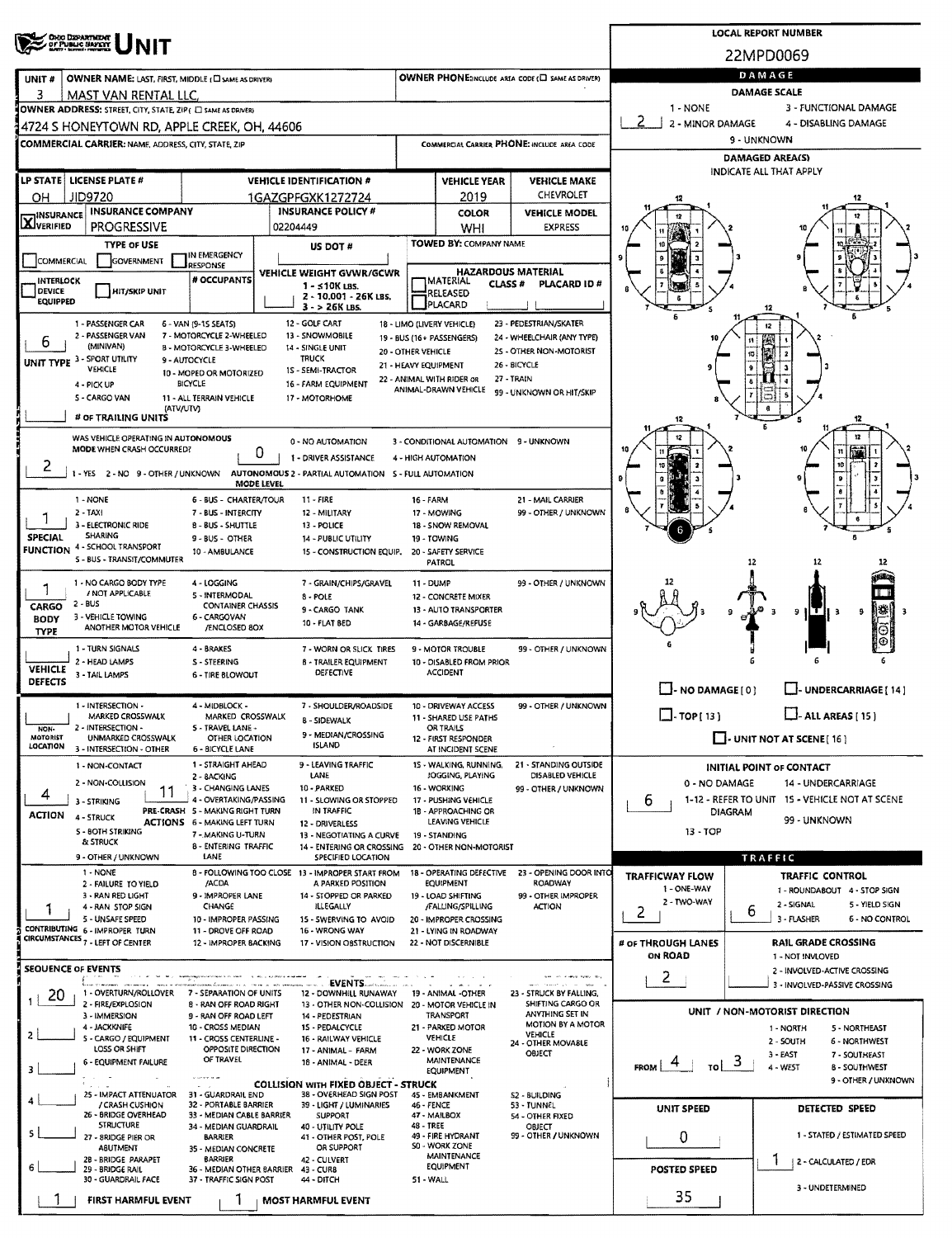| <b>OHO DEPARTMENT</b><br>OF PUBLIC SAFETY                                                                            |                                                                                                   |                                            |                                                                 |                                                   |                                       | <b>LOCAL REPORT NUMBER</b>                                       |
|----------------------------------------------------------------------------------------------------------------------|---------------------------------------------------------------------------------------------------|--------------------------------------------|-----------------------------------------------------------------|---------------------------------------------------|---------------------------------------|------------------------------------------------------------------|
|                                                                                                                      |                                                                                                   |                                            |                                                                 |                                                   |                                       | 22MPD0069<br>DAMAGE                                              |
| OWNER NAME: LAST, FIRST, MIDDLE (C) SAME AS DRIVER)<br>UNIT#<br>3<br>MAST VAN RENTAL LLC                             |                                                                                                   |                                            |                                                                 | OWNER PHONE:INCLUDE AREA CODE (E) SAME AS DRIVER) |                                       | <b>DAMAGE SCALE</b>                                              |
| OWNER ADDRESS: STREET, CITY, STATE, ZIP ( C) SAME AS DRIVERY                                                         |                                                                                                   |                                            |                                                                 |                                                   | 1 - NONE                              | 3 - FUNCTIONAL DAMAGE                                            |
| 4724 S HONEYTOWN RD, APPLE CREEK, OH, 44606                                                                          |                                                                                                   |                                            |                                                                 |                                                   | -2<br>2 - MINOR DAMAGE                | 4 - DISABLING DAMAGE                                             |
| <b>COMMERCIAL CARRIER: NAME, ADDRESS, CITY, STATE, ZIP</b>                                                           |                                                                                                   |                                            |                                                                 | COMMERCIAL CARRIER PHONE: INCLUDE AREA CODE       |                                       | 9 - UNKNOWN<br><b>DAMAGED AREA(S)</b>                            |
|                                                                                                                      |                                                                                                   |                                            |                                                                 |                                                   |                                       | INDICATE ALL THAT APPLY                                          |
| LP STATE LICENSE PLATE #<br>JID9720<br>OН                                                                            | <b>VEHICLE IDENTIFICATION #</b><br>1GAZGPFGXK1272724                                              |                                            | <b>VEHICLE YEAR</b><br>2019                                     | <b>VEHICLE MAKE</b><br>CHEVROLET                  |                                       |                                                                  |
| <b>INSURANCE COMPANY</b><br><b>X</b> INSURANCE                                                                       | <b>INSURANCE POLICY #</b>                                                                         |                                            | <b>COLOR</b>                                                    | <b>VEHICLE MODEL</b>                              |                                       |                                                                  |
| <b>PROGRESSIVE</b>                                                                                                   | 02204449                                                                                          |                                            | WHI                                                             | <b>EXPRESS</b>                                    |                                       |                                                                  |
| <b>TYPE OF USE</b><br>IN EMERGENCY<br><b>GOVERNMENT</b><br>COMMERCIAL                                                | US DOT #                                                                                          |                                            | <b>TOWED BY: COMPANY NAME</b>                                   |                                                   |                                       |                                                                  |
| <b>RESPONSE</b><br># OCCUPANTS<br><b>INTERLOCK</b>                                                                   | <b>VEHICLE WEIGHT GVWR/GCWR</b>                                                                   |                                            | <b>HAZARDOUS MATERIAL</b><br><b>IMATERIAL</b><br><b>CLASS #</b> | <b>PLACARD ID#</b>                                |                                       |                                                                  |
| DEVICE<br><b>HIT/SKIP UNIT</b><br><b>EQUIPPED</b>                                                                    | $1 - 510K$ LBS.<br>2 - 10.001 - 26K LBS.                                                          |                                            | RELEASED<br>PLACARD                                             |                                                   |                                       |                                                                  |
| 1 - PASSENGER CAR<br>6 - VAN (9-1S SEATS)                                                                            | $3 - 26K$ LBS.<br>12 - GOLF CART                                                                  |                                            | 18 - LIMO (LIVERY VEHICLE)                                      | 23 - PEDESTRIAN/SKATER                            |                                       | 12<br>12                                                         |
| 2 - PASSENGER VAN<br>7 - MOTORCYCLE 2-WHEELED<br>6<br>(MINIVAN)<br>B - MOTORCYCLE 3-WHEELED                          | 13 - SNOWMOBILE                                                                                   |                                            | 19 - BUS (16 + PASSENGERS)                                      | 24 - WHEELCHAIR (ANY TYPE)                        |                                       |                                                                  |
| UNIT TYPE 3 - SPORT UTILITY<br>9 - AUTOCYCLE                                                                         | 14 - SINGLE UNIT<br><b>TRUCK</b>                                                                  | 20 - OTHER VEHICLE<br>21 - HEAVY EQUIPMENT |                                                                 | 25 - OTHER NON-MOTORIST<br>26 - BICYCLE           |                                       | 13                                                               |
| VEHICLE<br>10 - MOPED OR MOTORIZED<br>BICYCLE<br>4 - PICK UP                                                         | 1S - SEMI-TRACTOR<br>16 - FARM EQUIPMENT                                                          |                                            | 22 - ANIMAL WITH RIDER OR<br>ANIMAL-DRAWN VEHICLE               | 27 - TRAIN                                        |                                       |                                                                  |
| <b>S - CARGO VAN</b><br>11 - ALL TERRAIN VEHICLE<br>(ATV/UTV)                                                        | 17 - MOTORHOME                                                                                    |                                            |                                                                 | 99 - UNKNOWN OR HIT/SKIP                          |                                       |                                                                  |
| # OF TRAILING UNITS                                                                                                  |                                                                                                   |                                            |                                                                 |                                                   |                                       |                                                                  |
| WAS VEHICLE OPERATING IN AUTONOMOUS<br>MODE WHEN CRASH OCCURRED?                                                     | 0 - NO AUTOMATION                                                                                 |                                            | 3 - CONDITIONAL AUTOMATION 9 - UNKNOWN                          |                                                   |                                       |                                                                  |
| υ<br>۷<br>1 - YES 2 - NO 9 - OTHER / UNKNOWN AUTONOMOUS 2 - PARTIAL AUTOMATION 5 - FULL AUTOMATION                   | 1 - DRIVER ASSISTANCE                                                                             |                                            | 4 - HIGH AUTOMATION                                             |                                                   |                                       |                                                                  |
| MODE LEVEL                                                                                                           |                                                                                                   |                                            |                                                                 |                                                   |                                       |                                                                  |
| 1 - NONE<br>6 - BUS - CHARTER/TOUR<br>$2 - TAX$<br>7 - BUS - INTERCITY                                               | 11 - FIRE<br>12 - MILITARY                                                                        | 16 - FARM                                  | 17 - MOWING                                                     | 21 - MAIL CARRIER<br>99 - OTHER / UNKNOWN         |                                       |                                                                  |
| 3 - ELECTRONIC RIDE<br><b>B-BUS-SHUTTLE</b>                                                                          | 13 - POLICE                                                                                       |                                            | 18 - SNOW REMOVAL                                               |                                                   |                                       |                                                                  |
| <b>SHARING</b><br><b>SPECIAL</b><br>$9 - BUS - OTHER$<br><b>FUNCTION 4 - SCHOOL TRANSPORT</b><br>10 - AMBULANCE      | 14 - PUBLIC UTILITY<br>15 - CONSTRUCTION EQUIP.                                                   | 19 - TOWING                                | 20 - SAFETY SERVICE                                             |                                                   |                                       |                                                                  |
| 5 - BUS - TRANSIT/COMMUTER                                                                                           |                                                                                                   |                                            | PATROL                                                          |                                                   |                                       | 12<br>12                                                         |
| 1 - NO CARGO BODY TYPE<br>4 - LOGGING<br>1<br>/ NOT APPLICABLE<br>5 - INTERMODAL                                     | 7 - GRAIN/CHIPS/GRAVEL<br>8 - POLE                                                                | <b>11 - DUMP</b>                           | 12 - CONCRETE MIXER                                             | 99 - OTHER / UNKNOWN                              |                                       | TETR                                                             |
| 2 - BUS<br><b>CONTAINER CHASSIS</b><br>CARGO<br>3 - VEHICLE TOWING<br>6 - CARGOVAN                                   | 9 - CARGO TANK                                                                                    |                                            | 13 - AUTO TRANSPORTER                                           |                                                   |                                       | næ,<br>9<br>HTΗ<br>9<br>-3                                       |
| <b>BODY</b><br>ANOTHER MOTOR VEHICLE<br>/ENCLOSED 8OX<br><b>TYPE</b>                                                 | 10 - FLAT BED                                                                                     |                                            | 14 - GARBAGE/REFUSE                                             |                                                   |                                       | Θ                                                                |
| 1 - TURN SIGNALS<br>4 - BRAKES                                                                                       | 7 - WORN OR SLICK TIRES                                                                           |                                            | 9 - MOTOR TROUBLE                                               | 99 - OTHER / UNKNOWN                              |                                       |                                                                  |
| 2 - HEAD LAMPS<br><b>S-STEERING</b><br><b>VEHICLE</b><br>3 - TAIL LAMPS<br><b>6 - TIRE BLOWOUT</b><br><b>DEFECTS</b> | <b>B - TRAILER EQUIPMENT</b><br>DEFECTIVE                                                         |                                            | 10 - DISABLED FROM PRIOR<br><b>ACCIDENT</b>                     |                                                   |                                       |                                                                  |
|                                                                                                                      |                                                                                                   |                                            |                                                                 |                                                   | $\Box$ - NO DAMAGE $[0]$              | LI- UNDERCARRIAGE [ 14 ]                                         |
| 1 - INTERSECTION -<br>4 - MIDBLOCK -<br>MARKED CROSSWALK<br>MARKED CROSSWALK                                         | 7 - SHOULDER/ROADSIDE<br>8 - SIDEWALK                                                             |                                            | 10 - DRIVEWAY ACCESS<br>11 - SHARED USE PATHS                   | 99 - OTHER / UNKNOWN                              | $\Box$ -TOP(13)                       | $\Box$ - ALL AREAS [ 15 ]                                        |
| 2 - INTERSECTION -<br>5 - TRAVEL LANE -<br>NON-<br>MOTORIST<br>UNMARKED CROSSWALK<br>OTHER LOCATION<br>LOCATION      | 9 - MEDIAN/CROSSING<br><b>ISLAND</b>                                                              |                                            | <b>OR TRAILS</b><br>12 - FIRST RESPONDER                        |                                                   |                                       | $\Box$ - UNIT NOT AT SCENE [16]                                  |
| 3 - INTERSECTION - OTHER<br>6 - BICYCLE LANE<br>1 - STRAIGHT AHEAD<br>1 - NON-CONTACT                                | 9 - LEAVING TRAFFIC                                                                               |                                            | AT INCIDENT SCENE<br>15 - WALKING, RUNNING,                     | 21 - STANDING OUTSIDE                             |                                       |                                                                  |
| 2 - BACKING<br>2 - NON-COLLISION<br>3 - CHANGING LANES                                                               | LANE<br>10 - PARKED                                                                               |                                            | JOGGING, PLAYING<br>16 - WORKING                                | DISABLED VEHICLE                                  | 0 - NO DAMAGE                         | <b>INITIAL POINT OF CONTACT</b><br>14 - UNDERCARRIAGE            |
| 11<br>4<br>4 - OVERTAKING/PASSING<br>3 - STRIKING                                                                    | 11 - SLOWING OR STOPPED                                                                           |                                            | 17 - PUSHING VEHICLE                                            | 99 - OTHER / UNKNOWN                              | 6                                     | 1-12 - REFER TO UNIT 15 - VEHICLE NOT AT SCENE                   |
| PRE-CRASH 5 - MAKING RIGHT TURN<br><b>ACTION</b><br>4 - STRUCK<br><b>ACTIONS</b> 6 - MAKING LEFT TURN                | IN TRAFFIC<br>12 - DRIVERLESS                                                                     |                                            | 1B - APPROACHING OR<br>LEAVING VEHICLE                          |                                                   | <b>DIAGRAM</b>                        | 99 - UNKNOWN                                                     |
| 5 - BOTH STRIKING<br>7 - MAKING U-TURN<br><b>&amp; STRUCK</b><br><b>8 - ENTERING TRAFFIC</b>                         | 13 - NEGOTIATING A CURVE<br>14 - ENTERING OR CROSSING                                             |                                            | 19 - STANDING<br>20 - OTHER NON-MOTORIST                        |                                                   | 13 - TOP                              |                                                                  |
| LANE<br>9 - OTHER / UNKNOWN<br>1 - NONE                                                                              | SPECIFIED LOCATION<br>8 - FOLLOWING TOO CLOSE 13 - IMPROPER START FROM                            |                                            | 18 - OPERATING DEFECTIVE                                        | 23 - OPENING DOOR INTO                            |                                       | TRAFFIC                                                          |
| /ACDA<br>2 - FAILURE TO YIELD                                                                                        | A PARKED POSITION                                                                                 |                                            | <b>EQUIPMENT</b>                                                | ROADWAY                                           | <b>TRAFFICWAY FLOW</b><br>1 - ONE-WAY | <b>TRAFFIC CONTROL</b><br>1 - ROUNDABOUT 4 - STOP SIGN           |
| 3 - RAN RED LIGHT<br>9 - IMPROPER LANE<br>CHANGE<br>4 - RAN STOP SIGN                                                | 14 - STOPPED OR PARKED<br><b>ILLEGALLY</b>                                                        |                                            | 19 - LOAD SHIFTING<br>/FALLING/SPILLING                         | 99 - OTHER IMPROPER<br><b>ACTION</b>              | 2 - TWO-WAY<br>2                      | 2 - SIGNAL<br>5 - YIELD SIGN<br>ь                                |
| 5 - UNSAFE SPEED<br>10 - IMPROPER PASSING<br>CONTRIBUTING 6 - IMPROPER TURN<br>11 - DROVE OFF ROAD                   | 15 - SWERVING TO AVOID<br>16 - WRONG WAY                                                          |                                            | 20 - IMPROPER CROSSING<br>21 - LYING IN ROADWAY                 |                                                   |                                       | 3 - FLASHER<br><b>6 - NO CONTROL</b>                             |
| CIRCUMSTANCES <sub>7</sub> - LEFT OF CENTER<br>12 - IMPROPER BACKING                                                 | 17 - VISION OBSTRUCTION                                                                           |                                            | 22 - NOT DISCERNIBLE                                            |                                                   | # OF THROUGH LANES<br><b>ON ROAD</b>  | <b>RAIL GRADE CROSSING</b><br>1 - NOT INVLOVED                   |
| <b>SEQUENCE OF EVENTS</b>                                                                                            |                                                                                                   |                                            |                                                                 |                                                   | $\mathbf{2}$                          | 2 - INVOLVED-ACTIVE CROSSING                                     |
| 1 - OVERTURN/ROLLOVER<br>7 - SEPARATION OF UNITS<br>20                                                               | EVENTS<br>12 - DOWNHILL RUNAWAY                                                                   |                                            | 19 - ANIMAL -OTHER                                              | 23 - STRUCK BY FALLING,                           |                                       | 3 - INVOLVED-PASSIVE CROSSING                                    |
| 2 - FIRE/EXPLOSION<br>8 - RAN OFF ROAD RIGHT<br>3 - IMMERSION<br>9 - RAN OFF ROAD LEFT                               | 13 - OTHER NON-COLLISION 20 - MOTOR VEHICLE IN<br>14 - PEDESTRIAN                                 |                                            | TRANSPORT                                                       | SHIFTING CARGO OR<br>ANYTHING SET IN              |                                       | UNIT / NON-MOTORIST DIRECTION                                    |
| 4 - JACKKNIFE<br>10 - CROSS MEDIAN<br>2<br>5 - CARGO / EQUIPMENT<br>11 - CROSS CENTERLINE -                          | 15 - PEDALCYCLE<br>16 - RAILWAY VEHICLE                                                           |                                            | 21 - PARKED MOTOR<br><b>VEHICLE</b>                             | MOTION BY A MOTOR<br>VEHICLE                      |                                       | 5 - NORTHEAST<br>1 - NORTH<br>2 - SOUTH<br>6 - NORTHWEST         |
| <b>LOSS OR SHIFT</b><br>OPPOSITE DIRECTION<br>OF TRAVEL<br><b>6 - EQUIPMENT FAILURE</b>                              | 17 - ANIMAL - FARM<br>18 - ANIMAL - DEER                                                          |                                            | 22 - WORK ZONE<br><b>MAINTENANCE</b>                            | 24 - OTHER MOVABLE<br>OBJECT                      |                                       | $3 - EAST$<br>7 SOUTHEAST                                        |
| 3<br><b>Chamber of the</b>                                                                                           |                                                                                                   |                                            | EQUIPMENT                                                       |                                                   | $FROM \perp 4$<br>TO                  | $\mathbf{D}$<br>4 - WEST<br>8 - SOUTHWEST<br>9 - OTHER / UNKNOWN |
| 25 - IMPACT ATTENUATOR<br>31 - GUARDRAIL END<br>/ CRASH CUSHION<br>32 - PORTABLE BARRIER                             | <b>COLLISION WITH FIXED OBJECT - STRUCK</b><br>38 - OVERHEAD SIGN POST<br>39 - LIGHT / LUMINARIES | 46 - FENCE                                 | 45 - EMBANKMENT                                                 | S2 - BUILDING<br>53 - TUNNEL                      |                                       |                                                                  |
| 26 - BRIDGE OVERHEAD<br>33 - MEDIAN CABLE BARRIER<br><b>STRUCTURE</b>                                                | <b>SUPPORT</b>                                                                                    | 47 - MAILBOX<br><b>48 - TREE</b>           |                                                                 | 54 - OTHER FIXED                                  | <b>UNIT SPEED</b>                     | DETECTED SPEED                                                   |
| 34 - MEDIAN GUARDRAIL<br>S.<br>27 - SRIDGE PIER OR<br><b>BARRIER</b>                                                 | 40 - UTILITY POLE<br>41 - OTHER POST, POLE                                                        |                                            | 49 - FIRE HYDRANT<br>S0 - WORK ZONE                             | OBJECT<br>99 - OTHER / UNKNOWN                    | 0                                     | 1 - STATED / ESTIMATED SPEED                                     |
| <b>ABUTMENT</b><br>35 - MEDIAN CONCRETE<br><b>BARRIER</b><br>28 - BRIDGE PARAPET<br>6                                | OR SUPPORT<br>42 - CULVERT                                                                        |                                            | MAINTENANCE<br><b>EQUIPMENT</b>                                 |                                                   |                                       | Ŧ<br>  2 - CALCULATED / EDR                                      |
| 29 - BRIDGE RAIL<br>36 - MEDIAN OTHER BARRIER<br>30 - GUARDRAIL FACE<br>37 - TRAFFIC SIGN POST                       | 43 - CUR8<br>44 - DITCH                                                                           | 51 - WALL                                  |                                                                 |                                                   | <b>POSTED SPEED</b>                   | 3 - UNDETERMINED                                                 |
| FIRST HARMFUL EVENT                                                                                                  | <b>MOST HARMFUL EVENT</b>                                                                         |                                            |                                                                 |                                                   | 35                                    |                                                                  |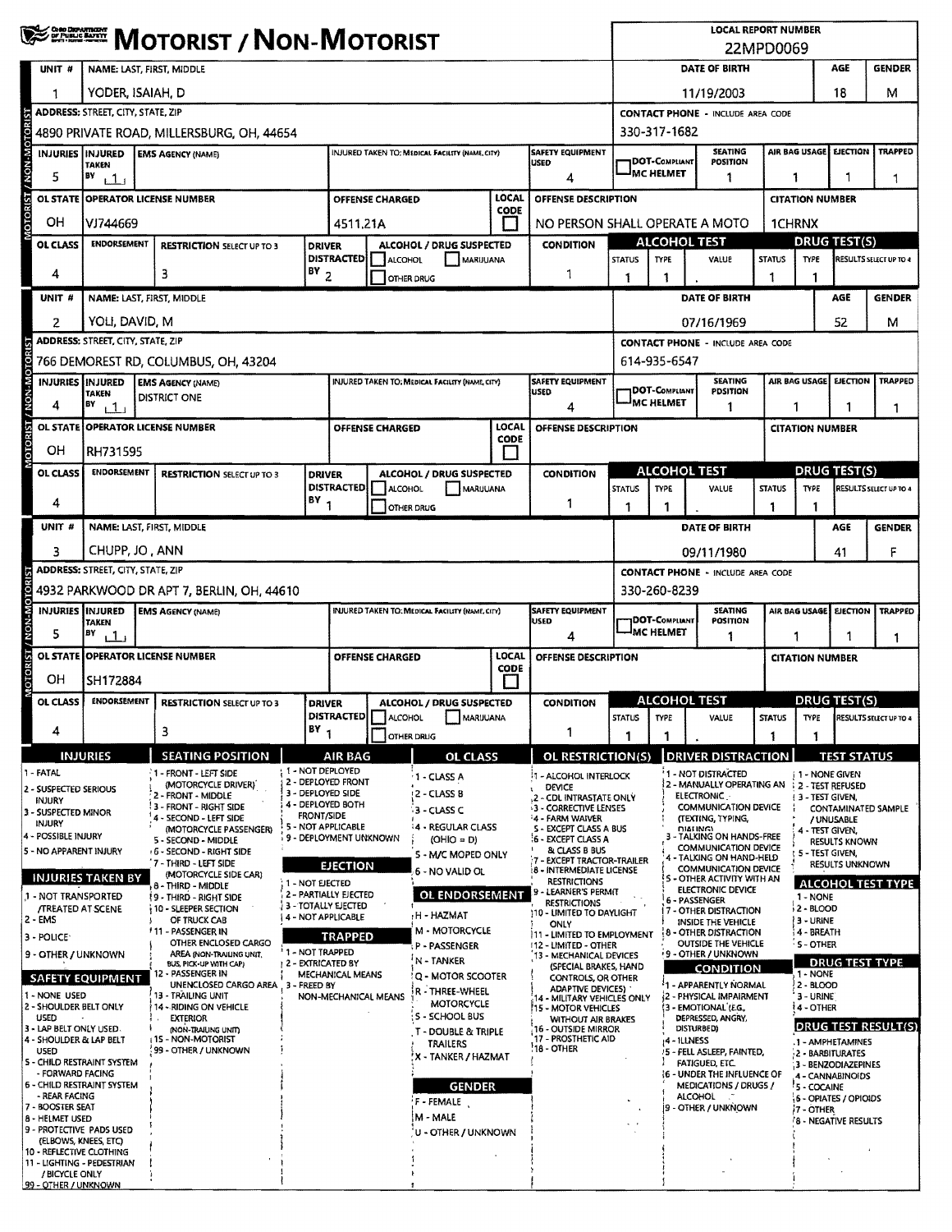|                                                                        | <b>WE EXERCISE MOTORIST / NON-MOTORIST</b>                                                                                  |                                                    |                                                                                         |                                              |                        |                                                                                      |                             |                                                                                |                    | <b>LOCAL REPORT NUMBER</b><br>22MPD0069                                      |                                                                          |                        |                                |                                            |                               |  |
|------------------------------------------------------------------------|-----------------------------------------------------------------------------------------------------------------------------|----------------------------------------------------|-----------------------------------------------------------------------------------------|----------------------------------------------|------------------------|--------------------------------------------------------------------------------------|-----------------------------|--------------------------------------------------------------------------------|--------------------|------------------------------------------------------------------------------|--------------------------------------------------------------------------|------------------------|--------------------------------|--------------------------------------------|-------------------------------|--|
| UNIT #                                                                 |                                                                                                                             | NAME: LAST, FIRST, MIDDLE                          |                                                                                         |                                              |                        |                                                                                      |                             |                                                                                |                    |                                                                              | DATE OF BIRTH                                                            |                        |                                | AGE                                        | <b>GENDER</b>                 |  |
| 1                                                                      |                                                                                                                             | YODER, ISAIAH, D                                   |                                                                                         |                                              |                        |                                                                                      |                             |                                                                                |                    |                                                                              | 11/19/2003                                                               |                        |                                | 18                                         | М                             |  |
|                                                                        | <b>ADDRESS: STREET, CITY, STATE, ZIP</b>                                                                                    | 4890 PRIVATE ROAD, MILLERSBURG, OH, 44654          |                                                                                         |                                              |                        |                                                                                      |                             |                                                                                |                    | 330-317-1682                                                                 | <b>CONTACT PHONE - INCLUDE AREA CODE</b>                                 |                        |                                |                                            |                               |  |
| INJURIES   INJURED                                                     |                                                                                                                             | <b>EMS AGENCY (NAME)</b>                           |                                                                                         |                                              |                        | INJURED TAKEN TO: MEDICAL FACILITY (NAME, CITY)                                      |                             | <b>SAFETY EQUIPMENT</b>                                                        |                    |                                                                              | <b>SEATING</b>                                                           |                        | AIR BAG USAGE                  | <b>EJECTION</b>                            | <b>TRAPPED</b>                |  |
| MOTORIST / NON-MOTORIST<br>5                                           | <b>TAKEN</b><br>BY<br>11                                                                                                    |                                                    |                                                                                         |                                              |                        |                                                                                      |                             | <b>USED</b><br>4                                                               |                    | <b>JDOT-COMPLIANT</b><br><b>POSITION</b><br><sup>I</sup> MC HELMET<br>1<br>1 |                                                                          |                        |                                | 1                                          |                               |  |
| <b>OL STATE</b>                                                        | <b>OPERATOR LICENSE NUMBER</b><br><b>OFFENSE CHARGED</b>                                                                    |                                                    |                                                                                         |                                              |                        |                                                                                      | LOCAL                       | OFFENSE DESCRIPTION                                                            |                    |                                                                              |                                                                          |                        | <b>CITATION NUMBER</b>         |                                            |                               |  |
| OН                                                                     | VJ744669                                                                                                                    |                                                    |                                                                                         | 4511,21A                                     |                        |                                                                                      | CODE                        | NO PERSON SHALL OPERATE A MOTO                                                 |                    |                                                                              |                                                                          |                        | 1CHRNX                         |                                            |                               |  |
| OL CLASS                                                               | <b>ENDORSEMENT</b>                                                                                                          | <b>RESTRICTION SELECT UP TO 3</b>                  |                                                                                         | <b>DRIVER</b>                                |                        | ALCOHOL / DRUG SUSPECTED                                                             |                             | <b>CONDITION</b>                                                               |                    | <b>ALCOHOL TEST</b>                                                          |                                                                          |                        | <b>DRUG TEST(S)</b>            |                                            |                               |  |
| 4                                                                      |                                                                                                                             | 3                                                  | $18Y$ <sub>2</sub>                                                                      | <b>DISTRACTED</b>                            | ALCOHOL                | MARUUANA<br>OTHER DRUG                                                               |                             | 1                                                                              | <b>STATUS</b><br>1 | <b>TYPE</b><br>-1                                                            | VALUE                                                                    | <b>STATUS</b>          | <b>TYPE</b><br>1               |                                            | <b>RESULTS SELECT UP TO 4</b> |  |
| UNIT #                                                                 |                                                                                                                             | NAME: LAST, FIRST, MIDDLE                          |                                                                                         |                                              |                        |                                                                                      |                             |                                                                                |                    |                                                                              | DATE OF BIRTH                                                            |                        |                                | AGE                                        | <b>GENDER</b>                 |  |
| 2                                                                      | YOLI, DAVID, M                                                                                                              |                                                    |                                                                                         |                                              |                        |                                                                                      |                             |                                                                                |                    |                                                                              | 07/16/1969                                                               |                        |                                | 52                                         | м                             |  |
|                                                                        | <b>ADDRESS: STREET, CITY, STATE, ZIP</b>                                                                                    |                                                    |                                                                                         |                                              |                        |                                                                                      |                             |                                                                                |                    | <b>CONTACT PHONE - INCLUDE AREA CODE</b><br>614-935-6547                     |                                                                          |                        |                                |                                            |                               |  |
| <b>TORIST</b>                                                          |                                                                                                                             | 766 DEMOREST RD, COLUMBUS, OH, 43204               |                                                                                         |                                              |                        |                                                                                      |                             |                                                                                |                    |                                                                              |                                                                          |                        |                                |                                            |                               |  |
| OTORIST / NON-M<br><b>INJURIES INJURED</b><br>4                        | <b>TAKEN</b><br>BY<br>111                                                                                                   | <b>EMS AGENCY (NAME)</b><br>DISTRICT ONE           |                                                                                         |                                              |                        | <b>INJURED TAKEN TO: MEDICAL FACILITY (HAME, CITY)</b>                               |                             | SAFETY EQUIPMENT<br><b>USED</b><br>4                                           |                    | 1DOT-COMPLIANT<br><sup>J</sup> MC HELMET                                     | <b>SEATING</b><br><b>PDSITION</b><br>1                                   |                        | 1                              | AIR BAG USAGE EJECTION                     | TRAPPED<br>1                  |  |
|                                                                        |                                                                                                                             | OL STATE OPERATOR LICENSE NUMBER                   |                                                                                         |                                              | OFFENSE CHARGED        |                                                                                      | LOCAL                       | OFFENSE DESCRIPTION                                                            |                    |                                                                              |                                                                          |                        | <b>CITATION NUMBER</b>         |                                            |                               |  |
| OН                                                                     | CODE<br>RH731595                                                                                                            |                                                    |                                                                                         |                                              |                        |                                                                                      |                             |                                                                                |                    |                                                                              |                                                                          |                        |                                |                                            |                               |  |
| <b>OL CLASS</b>                                                        | <b>ENDORSEMENT</b>                                                                                                          | <b>RESTRICTION SELECT UP TO 3</b>                  |                                                                                         | ALCOHOL / DRUG SUSPECTED                     |                        | <b>CONDITION</b>                                                                     |                             | <b>ALCOHOL TEST</b>                                                            |                    |                                                                              |                                                                          | <b>DRUG TEST(S)</b>    |                                |                                            |                               |  |
| 4                                                                      |                                                                                                                             |                                                    | $18Y_1$                                                                                 | <b>DISTRACTED</b>                            | <b>ALCOHOL</b>         | MARUUANA<br><b>OTHER DRUG</b>                                                        |                             | 1                                                                              | <b>STATUS</b><br>1 | <b>TYPE</b><br>$\mathbf{1}$                                                  | VALUE                                                                    | <b>STATUS</b><br>1     | <b>TYPE</b><br>1               |                                            | RESULTS SELECT UP TO 4        |  |
| UNIT #                                                                 | NAME: LAST, FIRST, MIDDLE                                                                                                   |                                                    |                                                                                         |                                              |                        |                                                                                      |                             |                                                                                |                    |                                                                              | DATE OF BIRTH                                                            |                        |                                | AGE                                        | <b>GENDER</b>                 |  |
| 3                                                                      | CHUPP, JO, ANN<br>09/11/1980<br>41                                                                                          |                                                    |                                                                                         |                                              |                        |                                                                                      |                             |                                                                                |                    |                                                                              |                                                                          | F                      |                                |                                            |                               |  |
|                                                                        | <b>ADDRESS:</b> STREET, CITY, STATE, ZIP                                                                                    |                                                    |                                                                                         |                                              |                        |                                                                                      |                             |                                                                                |                    |                                                                              | <b>CONTACT PHONE - INCLUDE AREA CODE</b>                                 |                        |                                |                                            |                               |  |
|                                                                        | 4932 PARKWOOD DR APT 7, BERLIN, OH, 44610                                                                                   |                                                    |                                                                                         |                                              |                        |                                                                                      |                             |                                                                                |                    | 330-260-8239                                                                 |                                                                          |                        |                                |                                            |                               |  |
| <b>/ NON-MOTORIST</b><br><b>INJURIES IINJURED</b><br>5                 | <b>TAKEN</b><br>BY<br>11                                                                                                    | <b>EMS AGENCY (NAME)</b>                           | SAFETY EQUIPMENT<br><b>INJURED TAKEN TO: MEDICAL FACILITY (NAME, CITY)</b><br>USED<br>4 |                                              |                        |                                                                                      |                             | <b>SEATING</b><br><b>JDOT-COMPLIANT</b><br>POSITION<br>IMC HELMET<br>1         |                    |                                                                              | AIR BAG USAGE<br>1                                                       | EJECTION<br>1          | <b>TRAPPED</b><br>1            |                                            |                               |  |
| <b>TSIROLOI</b><br>OН                                                  | SH172884                                                                                                                    | OL STATE OPPERATOR LICENSE NUMBER                  |                                                                                         |                                              | <b>OFFENSE CHARGED</b> |                                                                                      | <b>LOCAL</b><br><b>CODE</b> | OFFENSE DESCRIPTION                                                            |                    |                                                                              |                                                                          | <b>CITATION NUMBER</b> |                                |                                            |                               |  |
| <b>OL CLASS</b>                                                        | <b>ENDORSEMENT</b>                                                                                                          | <b>RESTRICTION SELECT UP TO 3</b>                  | <b>DRIVER</b><br>ALCOHOL / DRUG SUSPECTED                                               |                                              |                        |                                                                                      | <b>CONDITION</b>            | <b>ALCOHOL TEST</b><br><b>DRUG TEST(S)</b>                                     |                    |                                                                              |                                                                          |                        |                                |                                            |                               |  |
|                                                                        |                                                                                                                             |                                                    | BΥ                                                                                      | DISTRACTED                                   | ALCOHOL                | MARIJUANA                                                                            |                             |                                                                                | <b>STATUS</b>      | TYPE                                                                         | VALUE                                                                    | <b>STATUS</b>          | TYPE                           |                                            | RESULTS SELECT UP TO 4        |  |
| 4                                                                      |                                                                                                                             | з                                                  |                                                                                         |                                              |                        | OTHER DRUG                                                                           |                             | 1                                                                              |                    |                                                                              |                                                                          |                        |                                |                                            |                               |  |
| 1 - FATAL                                                              | <b>INJURIES</b>                                                                                                             | <b>SEATING POSITION</b><br>1 - FRONT - LEFT SIDE   |                                                                                         | AIR BAG<br>1 - NOT DEPLOYED                  |                        | <b>OL CLASS</b>                                                                      |                             | OL RESTRICTION(S)<br>11 - ALCOHOL INTERLOCK                                    |                    |                                                                              | <b>DRIVER DISTRACTION</b><br>1 - NOT DISTRACTED                          |                        | <b>i 1 - NONE GIVEN</b>        | <b>TEST STATUS</b>                         |                               |  |
| 2 - SUSPECTED SERIOUS                                                  |                                                                                                                             | (MOTORCYCLE DRIVER)<br>2 - FRONT - MIDDLE          |                                                                                         | 2 - DEPLOYED FRONT<br>3 - DEPLOYED SIDE      |                        | 11 - CLASS A<br><b>12 - CLASS B</b>                                                  |                             | <b>DEVICE</b><br>2 - CDL INTRASTATE ONLY                                       |                    |                                                                              | 2 - MANUALLY OPERATING AN : 2 - TEST REFUSED<br><b>ELECTRONIC</b>        |                        | <b>13 - TEST GIVEN,</b>        |                                            |                               |  |
| Injury<br>3 - SUSPECTED MINOR<br>INJURY                                |                                                                                                                             | 3 - FRONT - RIGHT SIDE<br>4 - SECOND - LEFT SIDE   |                                                                                         | 4 - DEPLOYED BOTH<br><b>FRONT/SIDE</b>       |                        | 3 - CLASS C                                                                          |                             | 3 - CORRECTIVE LENSES<br>'4 - FARM WAIVER                                      |                    |                                                                              | <b>COMMUNICATION DEVICE</b><br><b>ITEXTING, TYPING.</b>                  |                        |                                | / UNUSABLE                                 | <b>CONTAMINATED SAMPLE</b>    |  |
| 4 - POSSIBLE INJURY                                                    |                                                                                                                             | (MOTORCYCLE PASSENGER)<br>5 - SECOND - MIDDLE      |                                                                                         | 5 - NOT APPLICABLE<br>9 - DEPLOYMENT UNKNOWN |                        | <b>4 - REGULAR CLASS</b><br>(OHIO = D)                                               |                             | S - EXCEPT CLASS A BUS<br><b>6 - EXCEPT CLASS A</b>                            |                    |                                                                              | <b>DIALING</b><br>- TALKING ON HANDS-FREE<br><b>COMMUNICATION DEVICE</b> |                        | 4 - TEST GIVEN,                | <b>RESULTS KNOWN</b>                       |                               |  |
| 5 - NO APPARENT INJURY                                                 |                                                                                                                             | +6 - SECOND - RIGHT SIDE<br>'7 - THIRO - LEFT SIDE |                                                                                         | <b>EJECTION</b>                              |                        | S - M/C MOPED ONLY<br>6 - NO VALID OL                                                |                             | & CLASS B BUS<br>7 - EXCEPT TRACTOR-TRAILER<br><b>8 - INTERMEDIATE LICENSE</b> |                    |                                                                              | 4 - TALKING ON HAND-HELD<br><b>COMMUNICATION DEVICE</b>                  |                        | १ ५ - TEST GIVEN,              | RESULTS UNKNOWN                            |                               |  |
|                                                                        | <b>INJURIES TAKEN BY</b>                                                                                                    | (MOTORCYCLE SIDE CAR)<br>8 - THIRD - MIDDLE        | 1 - NOT EJECTED                                                                         |                                              |                        |                                                                                      |                             | <b>RESTRICTIONS</b><br>9 - LEARNER'S PERMIT                                    |                    |                                                                              | S - OTHER ACTIVITY WITH AN<br>ELECTRONIC DEVICE                          |                        |                                |                                            | <b>ALCOHOL TEST TYPE</b>      |  |
|                                                                        | 2 - PARTIALLY EJECTED<br>1 - NOT TRANSPORTED<br>19 - THIRD - RIGHT SIDE<br><b>/TREATED AT SCENE</b><br>10 - SLEEPER SECTION |                                                    |                                                                                         | 3 - TOTALLY EJECTED                          |                        | OL ENDORSEMENT<br><b>RESTRICTIONS</b><br>110 - UMITED TO DAYLIGHT<br><b>H-HAZMAT</b> |                             |                                                                                |                    | 6 - PASSENGER<br>7 - OTHER DISTRACTION                                       |                                                                          |                        |                                | 1 - NONE<br>2 - BLOOD                      |                               |  |
| $2 - EMS$<br>3 - POLICE                                                | 4 - NOT APPLICABLE<br>OF TRUCK CAB<br>† 11 - PASSENGER IN                                                                   |                                                    |                                                                                         | <b>TRAPPED</b>                               |                        | ONLY<br><b>M - MOTORCYCLE</b><br>11 - LIMITED TO EMPLOYMENT                          |                             |                                                                                |                    |                                                                              | INSIDE THE VEHICLE<br>8 - OTHER DISTRACTION                              |                        | 3 - URINE<br><b>4 - BREATH</b> |                                            |                               |  |
|                                                                        | OTHER ENCLOSED CARGO<br><sup>2</sup> 1 - NOT TRAPPED<br>AREA (NON-TRAILING UNIT,<br>9 - OTHER / UNKNOWN                     |                                                    |                                                                                         | † 2 - EXTRICATED BY                          |                        | P - PASSENGER<br>'N - TANKER                                                         |                             | 112 - LIMITED - OTHER<br>13 - MECHANICAL DEVICES                               |                    | <b>OUTSIDE THE VEHICLE</b><br>9 - OTHER / UNKNOWN                            |                                                                          |                        |                                | $\cdot$ S - OTHER<br><b>DRUG TEST TYPE</b> |                               |  |
|                                                                        | BUS, PICK-UP WITH CAP)<br>12 - PASSENGER IN<br><b>SAFETY EQUIPMENT</b><br>UNENCLOSED CARGO AREA                             |                                                    | 3 - FREED BY                                                                            | MECHANICAL MEANS                             |                        | <b>Q - MOTOR SCOOTER</b>                                                             |                             | (SPECIAL BRAKES, HAND<br>CONTROLS, OR OTHER<br>ADAPTIVE DEVICES)               |                    |                                                                              | <b>CONDITION</b><br>'1 - APPARENTLY NORMAL                               |                        | 1 - NONE<br>2 - BLOOD          |                                            |                               |  |
| 1 - NONE USED<br>2 - SHOULDER BELT ONLY                                |                                                                                                                             | 13 - TRAILING UNIT<br>14 - RIDING ON VEHICLE       |                                                                                         | NON-MECHANICAL MEANS                         |                        | R - THREE-WHEEL<br>MOTORCYCLE                                                        |                             | 14 - MILITARY VEHICLES ONLY<br><b>15 - MOTOR VEHICLES</b>                      |                    |                                                                              | 2 - PHYSICAL IMPAIRMENT<br>(3 - EMOTIONAL (E.G.,                         |                        | 3 - URINE<br><b>14 - OTHER</b> |                                            |                               |  |
| <b>USED</b><br>3 - LAP BELT ONLY USED.                                 |                                                                                                                             | <b>EXTERIOR</b><br>(NON-TRAILING UNIT)             |                                                                                         |                                              |                        | S - SCHOOL BUS<br>T - DOUBLE & TRIPLE                                                |                             | WITHOUT AIR BRAKES<br>16 - OUTSIDE MIRROR                                      |                    | DEPRESSED, ANGRY,<br>DISTURBED)                                              |                                                                          |                        | DRUG TEST RESULT(S)            |                                            |                               |  |
| 4 - SHOULDER & LAP BELT<br><b>USED</b>                                 |                                                                                                                             | 15 - NON-MOTORIST<br>! 99 - OTHER / UNKNOWN        |                                                                                         |                                              |                        | <b>TRAILERS</b><br>'X - TANKER / HAZMAT                                              |                             | 17 - PROSTHETIC AID<br>$18 - OTHER$                                            |                    | 4 - ILLNESS                                                                  | 5 - FELL ASLEEP, FAINTED,                                                |                        |                                | .1 - AMPHETAMINES<br>2 - BARBITURATES      |                               |  |
| S - CHILD RESTRAINT SYSTEM<br>- FORWARD FACING                         |                                                                                                                             |                                                    |                                                                                         |                                              |                        |                                                                                      |                             |                                                                                |                    |                                                                              | FATIGUED, ETC.<br><b>i6 - UNDER THE INFLUENCE OF</b>                     |                        |                                | 3 - BENZODIAZEPINES<br>4 - CANNABINOIDS    |                               |  |
| <b>6 - CHILD RESTRAINT SYSTEM</b><br>- REAR FACING<br>7 - BOOSTER SEAT |                                                                                                                             |                                                    |                                                                                         |                                              |                        | <b>GENDER</b><br>F - FEMALE                                                          |                             |                                                                                |                    |                                                                              | MEDICATIONS / DRUGS /<br>ALCOHOL 7                                       |                        | '5 - COCAINE                   | 6 - OPIATES / OPIOIDS                      |                               |  |
| 8 - HELMET USED<br>9 - PROTECTIVE PADS USED                            |                                                                                                                             |                                                    |                                                                                         |                                              |                        | M - MALE                                                                             |                             |                                                                                |                    |                                                                              | 9 - OTHER / UNKNOWN                                                      |                        | 17 - OTHER                     | <b>8 - NEGATIVE RESULTS</b>                |                               |  |
| (ELBOWS, KNEES, ETC)<br>10 - REFLECTIVE CLOTHING                       |                                                                                                                             |                                                    |                                                                                         |                                              |                        | U - OTHER / UNKNOWN                                                                  |                             |                                                                                |                    |                                                                              |                                                                          |                        |                                |                                            |                               |  |
| 11 - LIGHTING - PEDESTRIAN<br>/ BICYCLE ONLY                           |                                                                                                                             |                                                    |                                                                                         |                                              |                        |                                                                                      |                             |                                                                                |                    |                                                                              |                                                                          |                        |                                |                                            |                               |  |
| 99 - OTHER / UNKNOWN                                                   |                                                                                                                             |                                                    |                                                                                         |                                              |                        |                                                                                      |                             |                                                                                |                    |                                                                              |                                                                          |                        |                                |                                            |                               |  |